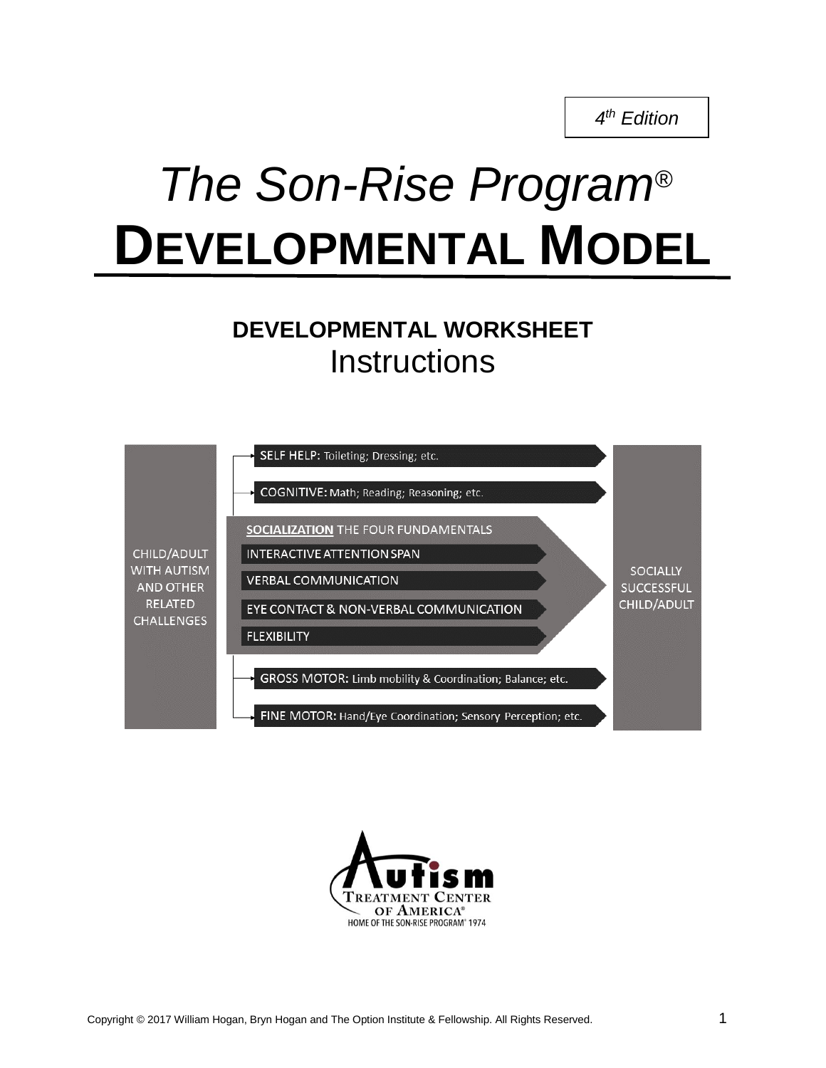*4 th Edition*

# *The Son-Rise Program*® **DEVELOPMENTAL MODEL**

## **DEVELOPMENTAL WORKSHEET Instructions**



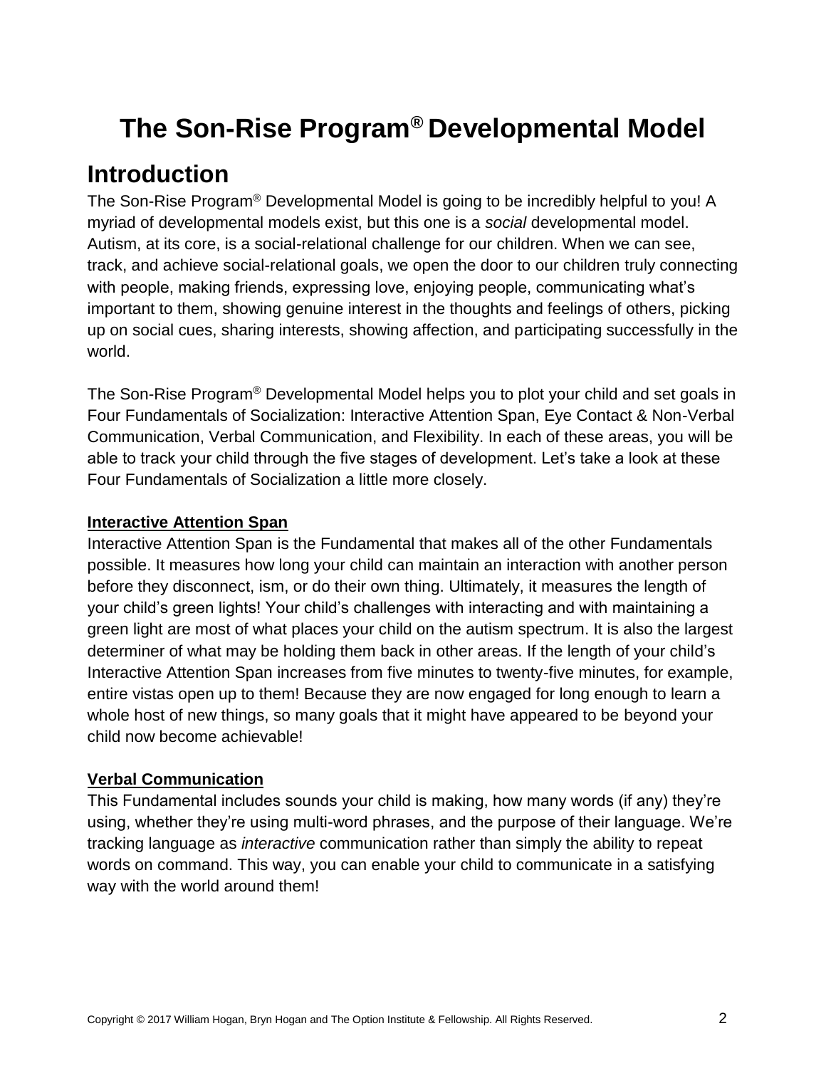## **The Son-Rise Program® Developmental Model**

## **Introduction**

The Son-Rise Program® Developmental Model is going to be incredibly helpful to you! A myriad of developmental models exist, but this one is a *social* developmental model. Autism, at its core, is a social-relational challenge for our children. When we can see, track, and achieve social-relational goals, we open the door to our children truly connecting with people, making friends, expressing love, enjoying people, communicating what's important to them, showing genuine interest in the thoughts and feelings of others, picking up on social cues, sharing interests, showing affection, and participating successfully in the world.

The Son-Rise Program® Developmental Model helps you to plot your child and set goals in Four Fundamentals of Socialization: Interactive Attention Span, Eye Contact & Non-Verbal Communication, Verbal Communication, and Flexibility. In each of these areas, you will be able to track your child through the five stages of development. Let's take a look at these Four Fundamentals of Socialization a little more closely.

#### **Interactive Attention Span**

Interactive Attention Span is the Fundamental that makes all of the other Fundamentals possible. It measures how long your child can maintain an interaction with another person before they disconnect, ism, or do their own thing. Ultimately, it measures the length of your child's green lights! Your child's challenges with interacting and with maintaining a green light are most of what places your child on the autism spectrum. It is also the largest determiner of what may be holding them back in other areas. If the length of your child's Interactive Attention Span increases from five minutes to twenty-five minutes, for example, entire vistas open up to them! Because they are now engaged for long enough to learn a whole host of new things, so many goals that it might have appeared to be beyond your child now become achievable!

### **Verbal Communication**

This Fundamental includes sounds your child is making, how many words (if any) they're using, whether they're using multi-word phrases, and the purpose of their language. We're tracking language as *interactive* communication rather than simply the ability to repeat words on command. This way, you can enable your child to communicate in a satisfying way with the world around them!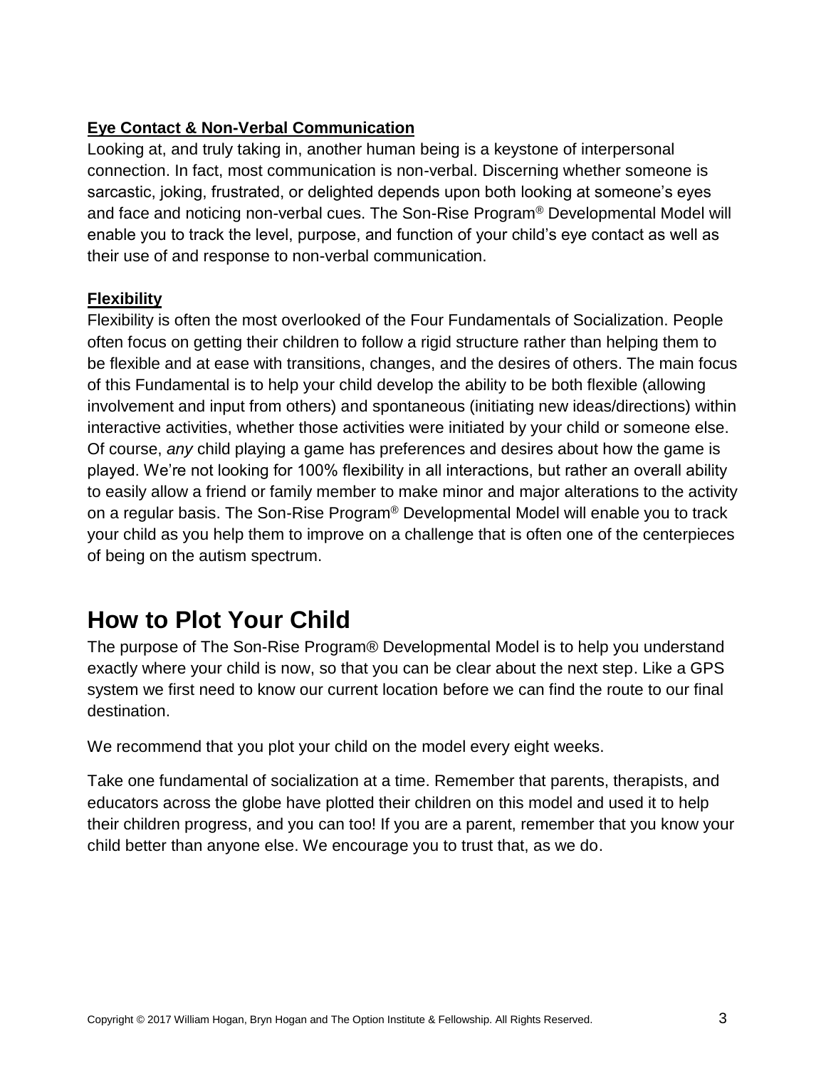### **Eye Contact & Non-Verbal Communication**

Looking at, and truly taking in, another human being is a keystone of interpersonal connection. In fact, most communication is non-verbal. Discerning whether someone is sarcastic, joking, frustrated, or delighted depends upon both looking at someone's eyes and face and noticing non-verbal cues. The Son-Rise Program® Developmental Model will enable you to track the level, purpose, and function of your child's eye contact as well as their use of and response to non-verbal communication.

### **Flexibility**

Flexibility is often the most overlooked of the Four Fundamentals of Socialization. People often focus on getting their children to follow a rigid structure rather than helping them to be flexible and at ease with transitions, changes, and the desires of others. The main focus of this Fundamental is to help your child develop the ability to be both flexible (allowing involvement and input from others) and spontaneous (initiating new ideas/directions) within interactive activities, whether those activities were initiated by your child or someone else. Of course, *any* child playing a game has preferences and desires about how the game is played. We're not looking for 100% flexibility in all interactions, but rather an overall ability to easily allow a friend or family member to make minor and major alterations to the activity on a regular basis. The Son-Rise Program® Developmental Model will enable you to track your child as you help them to improve on a challenge that is often one of the centerpieces of being on the autism spectrum.

## **How to Plot Your Child**

The purpose of The Son-Rise Program® Developmental Model is to help you understand exactly where your child is now, so that you can be clear about the next step. Like a GPS system we first need to know our current location before we can find the route to our final destination.

We recommend that you plot your child on the model every eight weeks.

Take one fundamental of socialization at a time. Remember that parents, therapists, and educators across the globe have plotted their children on this model and used it to help their children progress, and you can too! If you are a parent, remember that you know your child better than anyone else. We encourage you to trust that, as we do.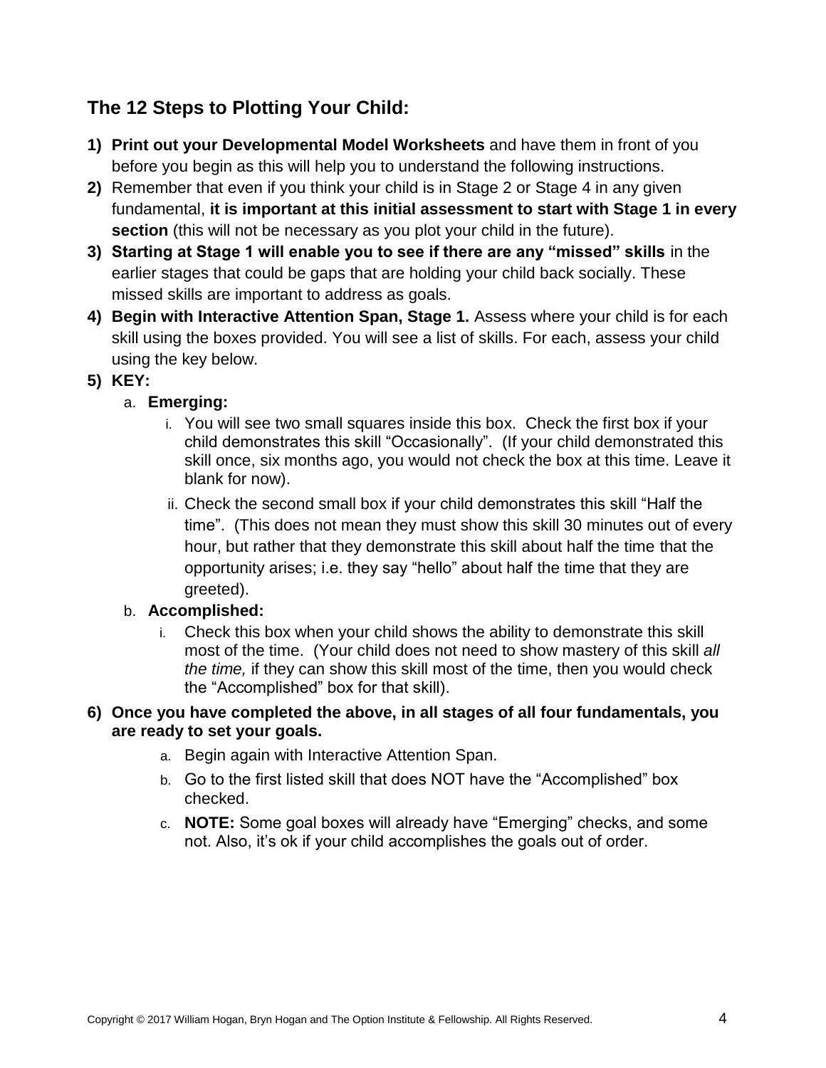### **The 12 Steps to Plotting Your Child:**

- **1) Print out your Developmental Model Worksheets** and have them in front of you before you begin as this will help you to understand the following instructions.
- **2)** Remember that even if you think your child is in Stage 2 or Stage 4 in any given fundamental, **it is important at this initial assessment to start with Stage 1 in every section** (this will not be necessary as you plot your child in the future).
- **3) Starting at Stage 1 will enable you to see if there are any "missed" skills** in the earlier stages that could be gaps that are holding your child back socially. These missed skills are important to address as goals.
- **4) Begin with Interactive Attention Span, Stage 1.** Assess where your child is for each skill using the boxes provided. You will see a list of skills. For each, assess your child using the key below.
- **5) KEY:**

### a. **Emerging:**

- i. You will see two small squares inside this box. Check the first box if your child demonstrates this skill "Occasionally". (If your child demonstrated this skill once, six months ago, you would not check the box at this time. Leave it blank for now).
- ii. Check the second small box if your child demonstrates this skill "Half the time". (This does not mean they must show this skill 30 minutes out of every hour, but rather that they demonstrate this skill about half the time that the opportunity arises; i.e. they say "hello" about half the time that they are greeted).

### b. **Accomplished:**

i. Check this box when your child shows the ability to demonstrate this skill most of the time. (Your child does not need to show mastery of this skill *all the time,* if they can show this skill most of the time, then you would check the "Accomplished" box for that skill).

#### **6) Once you have completed the above, in all stages of all four fundamentals, you are ready to set your goals.**

- a. Begin again with Interactive Attention Span.
- b. Go to the first listed skill that does NOT have the "Accomplished" box checked.
- c. **NOTE:** Some goal boxes will already have "Emerging" checks, and some not. Also, it's ok if your child accomplishes the goals out of order.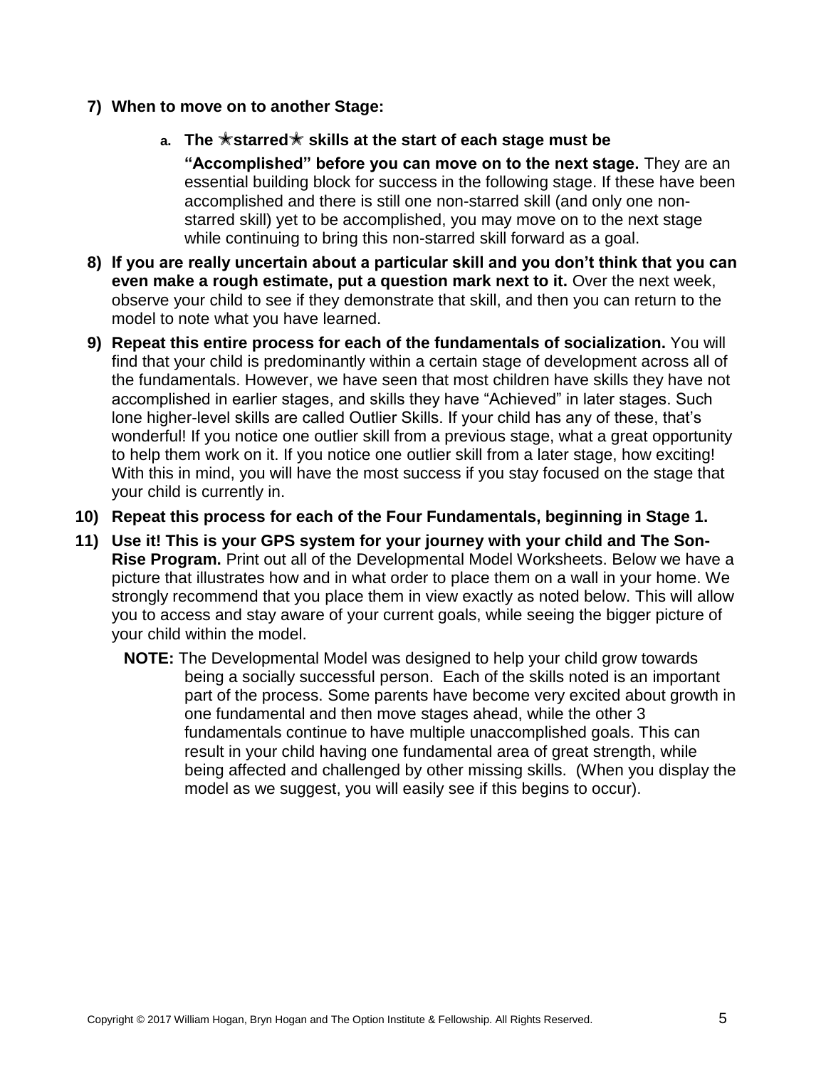- **7) When to move on to another Stage:**
	- **a. The** ✭**starred**✭ **skills at the start of each stage must be**

**"Accomplished" before you can move on to the next stage.** They are an essential building block for success in the following stage. If these have been accomplished and there is still one non-starred skill (and only one nonstarred skill) yet to be accomplished, you may move on to the next stage while continuing to bring this non-starred skill forward as a goal.

- **8) If you are really uncertain about a particular skill and you don't think that you can even make a rough estimate, put a question mark next to it.** Over the next week, observe your child to see if they demonstrate that skill, and then you can return to the model to note what you have learned.
- **9) Repeat this entire process for each of the fundamentals of socialization.** You will find that your child is predominantly within a certain stage of development across all of the fundamentals. However, we have seen that most children have skills they have not accomplished in earlier stages, and skills they have "Achieved" in later stages. Such lone higher-level skills are called Outlier Skills. If your child has any of these, that's wonderful! If you notice one outlier skill from a previous stage, what a great opportunity to help them work on it. If you notice one outlier skill from a later stage, how exciting! With this in mind, you will have the most success if you stay focused on the stage that your child is currently in.
- **10) Repeat this process for each of the Four Fundamentals, beginning in Stage 1.**
- **11) Use it! This is your GPS system for your journey with your child and The Son-Rise Program.** Print out all of the Developmental Model Worksheets. Below we have a picture that illustrates how and in what order to place them on a wall in your home. We strongly recommend that you place them in view exactly as noted below. This will allow you to access and stay aware of your current goals, while seeing the bigger picture of your child within the model.
	- **NOTE:** The Developmental Model was designed to help your child grow towards being a socially successful person. Each of the skills noted is an important part of the process. Some parents have become very excited about growth in one fundamental and then move stages ahead, while the other 3 fundamentals continue to have multiple unaccomplished goals. This can result in your child having one fundamental area of great strength, while being affected and challenged by other missing skills. (When you display the model as we suggest, you will easily see if this begins to occur).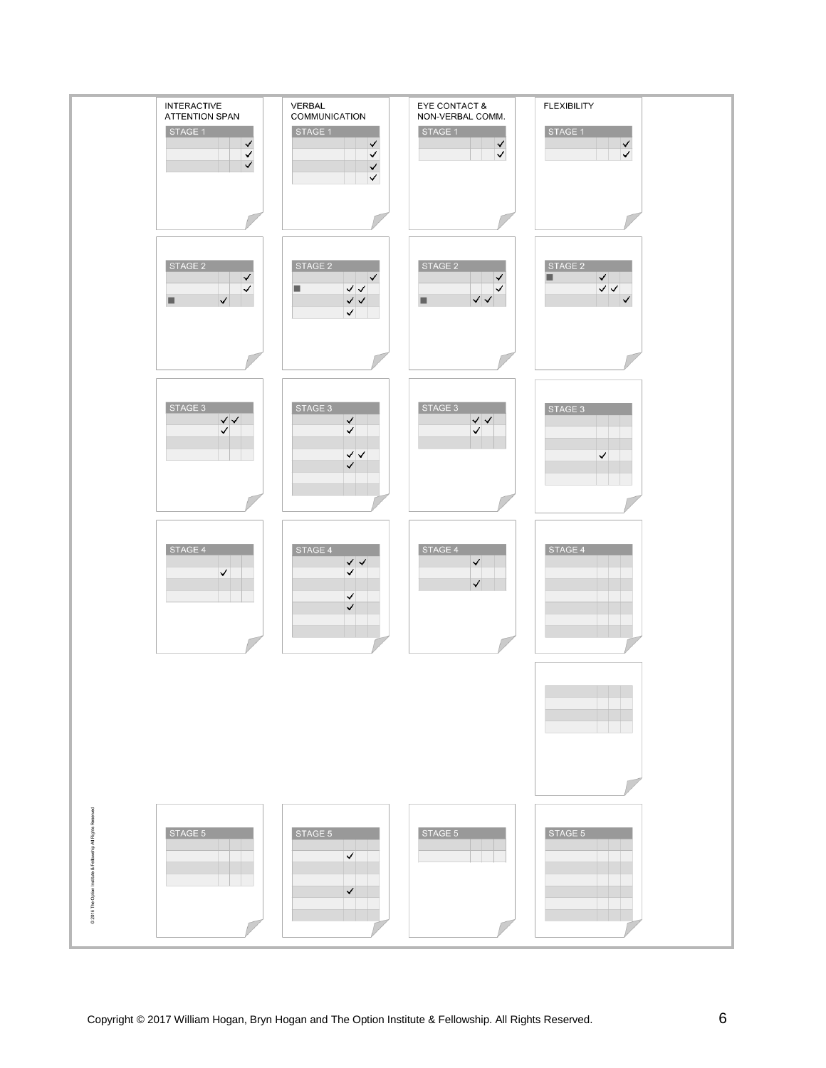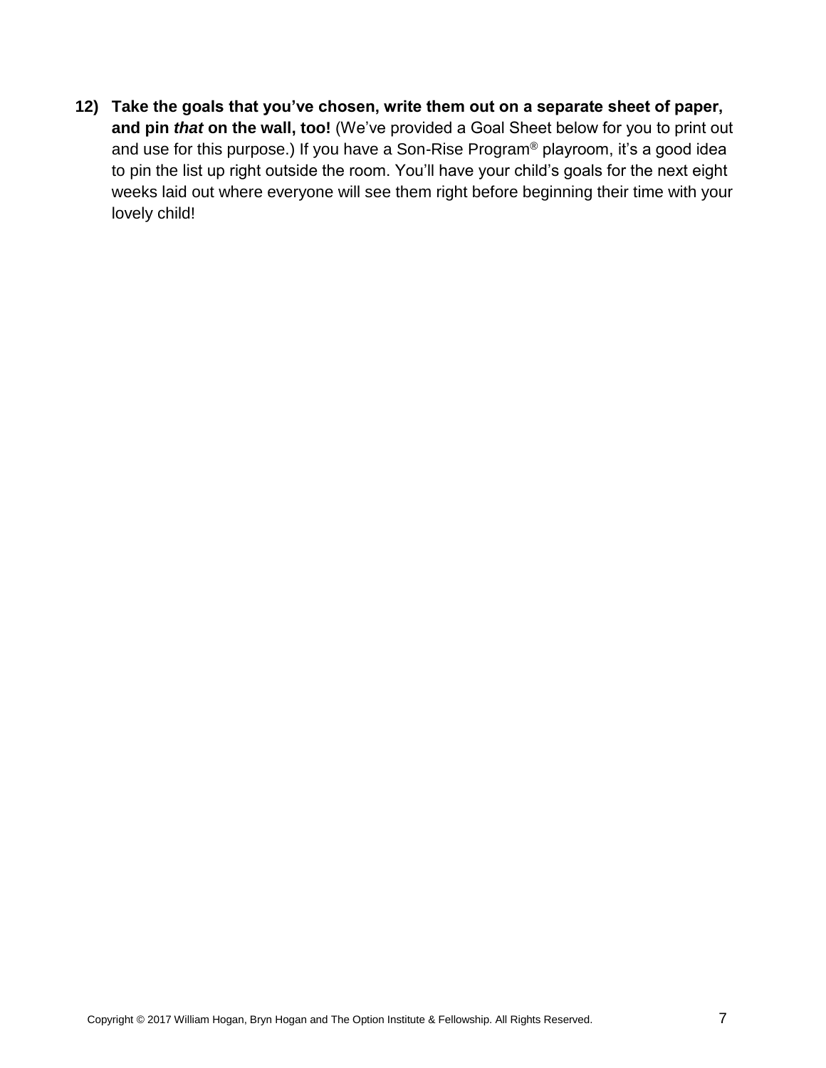**12) Take the goals that you've chosen, write them out on a separate sheet of paper, and pin** *that* **on the wall, too!** (We've provided a Goal Sheet below for you to print out and use for this purpose.) If you have a Son-Rise Program® playroom, it's a good idea to pin the list up right outside the room. You'll have your child's goals for the next eight weeks laid out where everyone will see them right before beginning their time with your lovely child!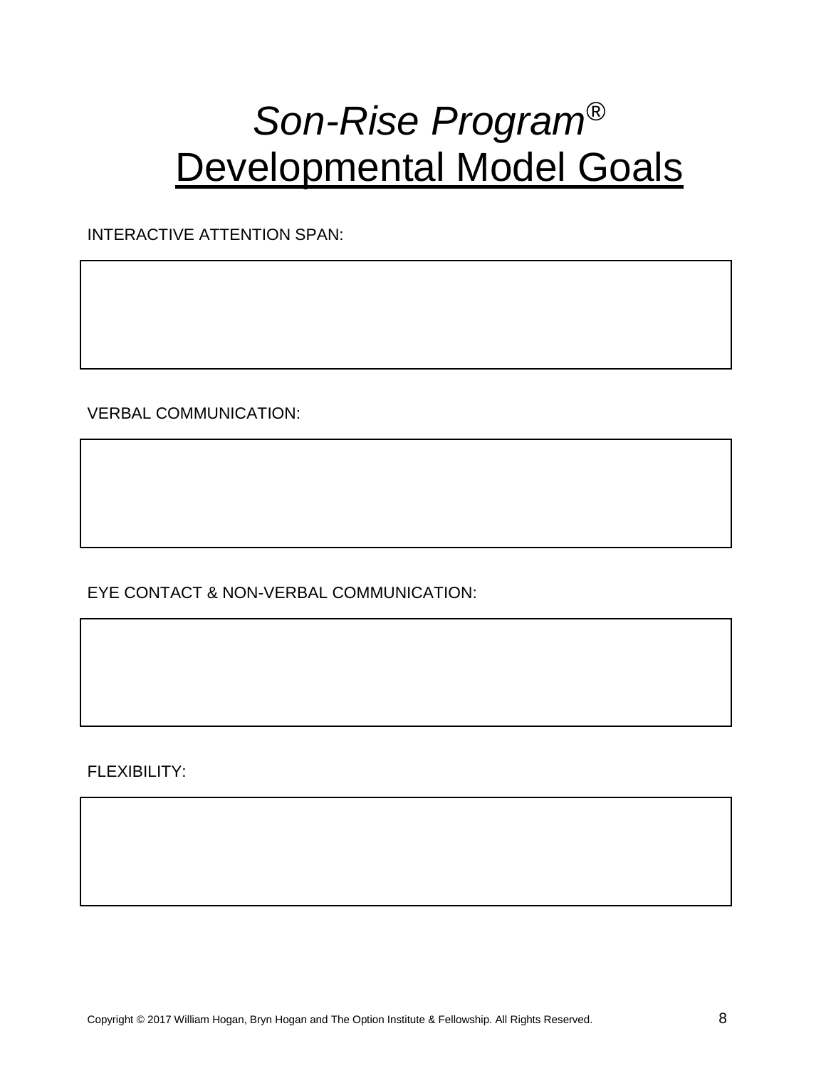## *Son-Rise Program*® Developmental Model Goals

INTERACTIVE ATTENTION SPAN:

VERBAL COMMUNICATION:

EYE CONTACT & NON-VERBAL COMMUNICATION:

FLEXIBILITY: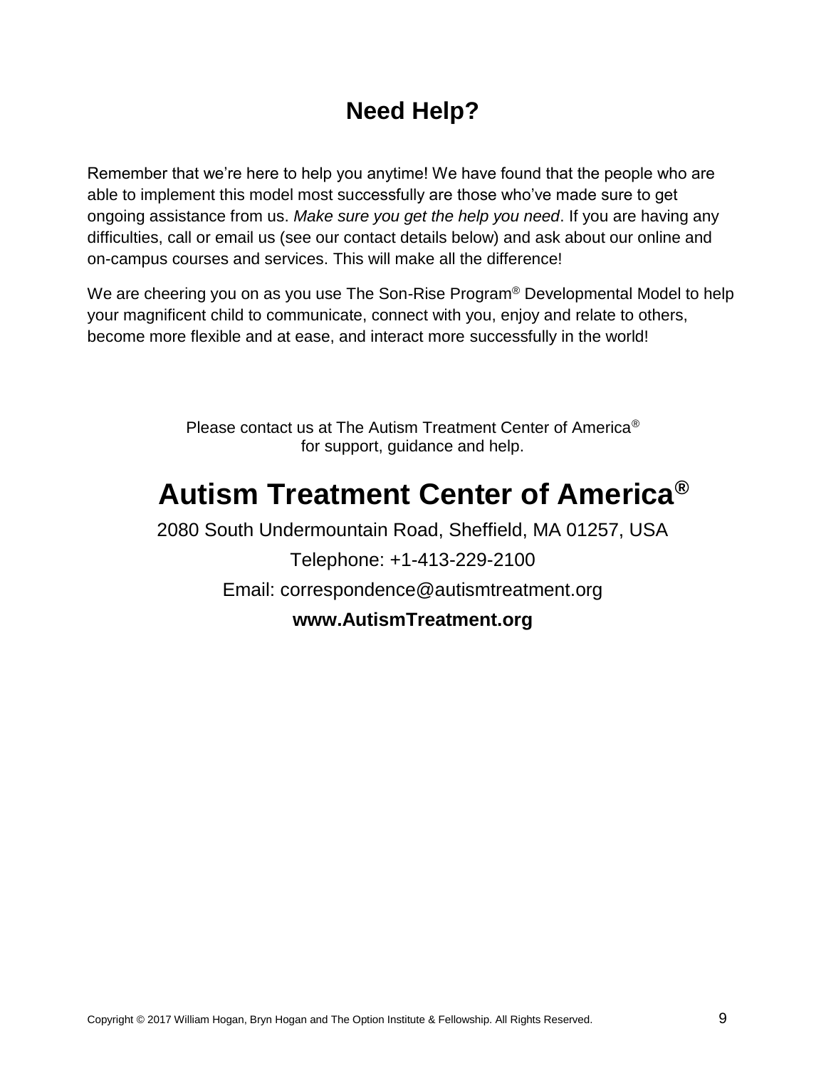## **Need Help?**

Remember that we're here to help you anytime! We have found that the people who are able to implement this model most successfully are those who've made sure to get ongoing assistance from us. *Make sure you get the help you need*. If you are having any difficulties, call or email us (see our contact details below) and ask about our online and on-campus courses and services. This will make all the difference!

We are cheering you on as you use The Son-Rise Program® Developmental Model to help your magnificent child to communicate, connect with you, enjoy and relate to others, become more flexible and at ease, and interact more successfully in the world!

> Please contact us at The Autism Treatment Center of America® for support, guidance and help.

## **Autism Treatment Center of America®**

2080 South Undermountain Road, Sheffield, MA 01257, USA Telephone: +1-413-229-2100 Email: correspondence@autismtreatment.org **www.AutismTreatment.org**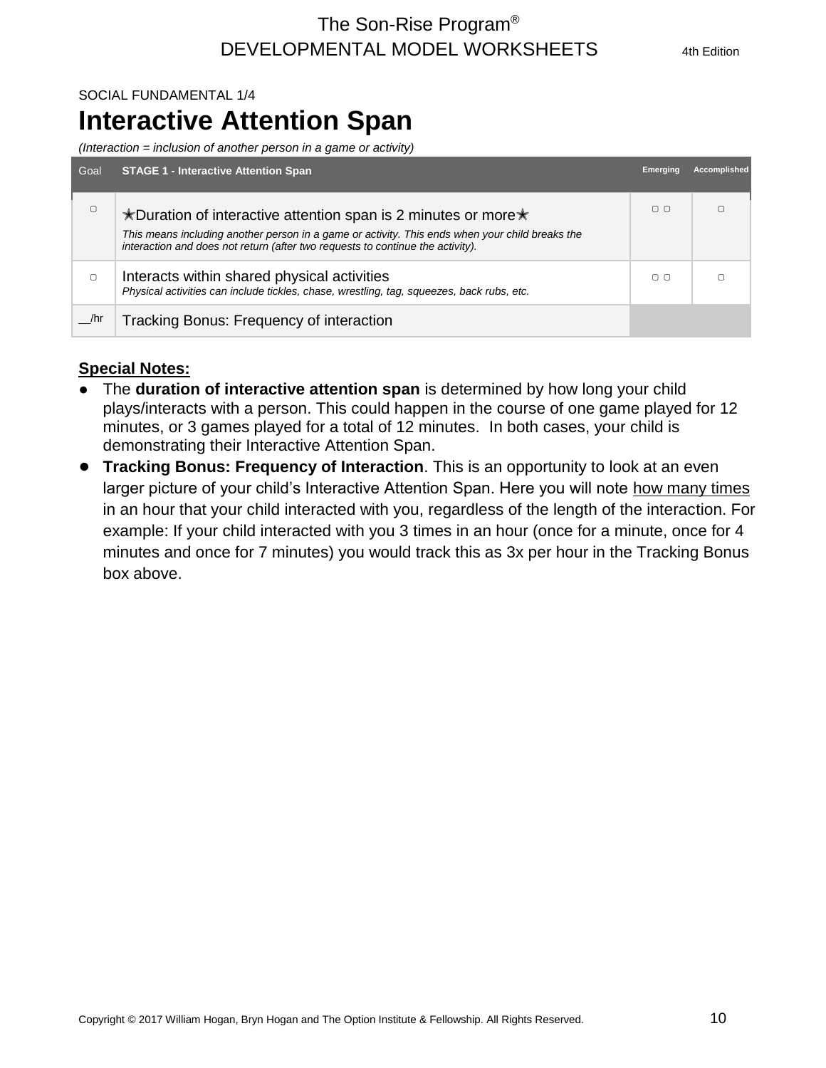#### SOCIAL FUNDAMENTAL 1/4

## **Interactive Attention Span**

*(Interaction = inclusion of another person in a game or activity)* 

| Goal   | <b>STAGE 1 - Interactive Attention Span</b>                                                                                                                                                                                                                      | Emeraina      | <b>Accomplished</b> |
|--------|------------------------------------------------------------------------------------------------------------------------------------------------------------------------------------------------------------------------------------------------------------------|---------------|---------------------|
| $\Box$ | $\star$ Duration of interactive attention span is 2 minutes or more $\star$<br>This means including another person in a game or activity. This ends when your child breaks the<br>interaction and does not return (after two requests to continue the activity). | $\Box$        |                     |
| $\Box$ | Interacts within shared physical activities<br>Physical activities can include tickles, chase, wrestling, tag, squeezes, back rubs, etc.                                                                                                                         | $\cap$ $\cap$ |                     |
| /hr    | Tracking Bonus: Frequency of interaction                                                                                                                                                                                                                         |               |                     |

#### **Special Notes:**

- The **duration of interactive attention span** is determined by how long your child plays/interacts with a person. This could happen in the course of one game played for 12 minutes, or 3 games played for a total of 12 minutes. In both cases, your child is demonstrating their Interactive Attention Span.
- **Tracking Bonus: Frequency of Interaction**. This is an opportunity to look at an even larger picture of your child's Interactive Attention Span. Here you will note how many times in an hour that your child interacted with you, regardless of the length of the interaction. For example: If your child interacted with you 3 times in an hour (once for a minute, once for 4 minutes and once for 7 minutes) you would track this as 3x per hour in the Tracking Bonus box above.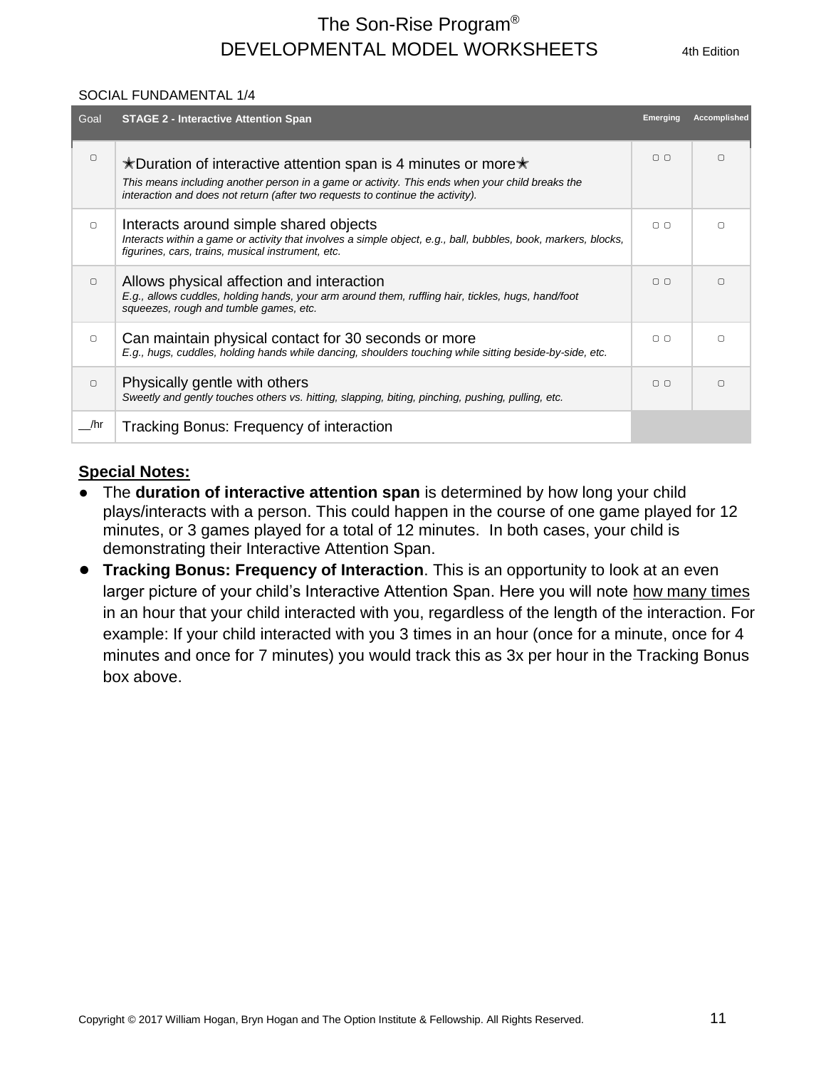#### SOCIAL FUNDAMENTAL 1/4

| Goal   | <b>STAGE 2 - Interactive Attention Span</b>                                                                                                                                                                                                                      | Emeraina      | <b>Accomplished</b> |
|--------|------------------------------------------------------------------------------------------------------------------------------------------------------------------------------------------------------------------------------------------------------------------|---------------|---------------------|
| $\Box$ | $\star$ Duration of interactive attention span is 4 minutes or more $\star$<br>This means including another person in a game or activity. This ends when your child breaks the<br>interaction and does not return (after two requests to continue the activity). | $\cap$ $\cap$ | ∩                   |
| $\Box$ | Interacts around simple shared objects<br>Interacts within a game or activity that involves a simple object, e.g., ball, bubbles, book, markers, blocks,<br>figurines, cars, trains, musical instrument, etc.                                                    | $\Box$        | ∩                   |
| $\Box$ | Allows physical affection and interaction<br>E.g., allows cuddles, holding hands, your arm around them, ruffling hair, tickles, hugs, hand/foot<br>squeezes, rough and tumble games, etc.                                                                        | $\cap$ $\cap$ | ∩                   |
| $\Box$ | Can maintain physical contact for 30 seconds or more<br>E.g., hugs, cuddles, holding hands while dancing, shoulders touching while sitting beside-by-side, etc.                                                                                                  | n n           | ∩                   |
| $\Box$ | Physically gentle with others<br>Sweetly and gently touches others vs. hitting, slapping, biting, pinching, pushing, pulling, etc.                                                                                                                               | $\cap$ $\cap$ | $\Box$              |
| /hr    | Tracking Bonus: Frequency of interaction                                                                                                                                                                                                                         |               |                     |

#### **Special Notes:**

- The **duration of interactive attention span** is determined by how long your child plays/interacts with a person. This could happen in the course of one game played for 12 minutes, or 3 games played for a total of 12 minutes. In both cases, your child is demonstrating their Interactive Attention Span.
- **Tracking Bonus: Frequency of Interaction**. This is an opportunity to look at an even larger picture of your child's Interactive Attention Span. Here you will note how many times in an hour that your child interacted with you, regardless of the length of the interaction. For example: If your child interacted with you 3 times in an hour (once for a minute, once for 4 minutes and once for 7 minutes) you would track this as 3x per hour in the Tracking Bonus box above.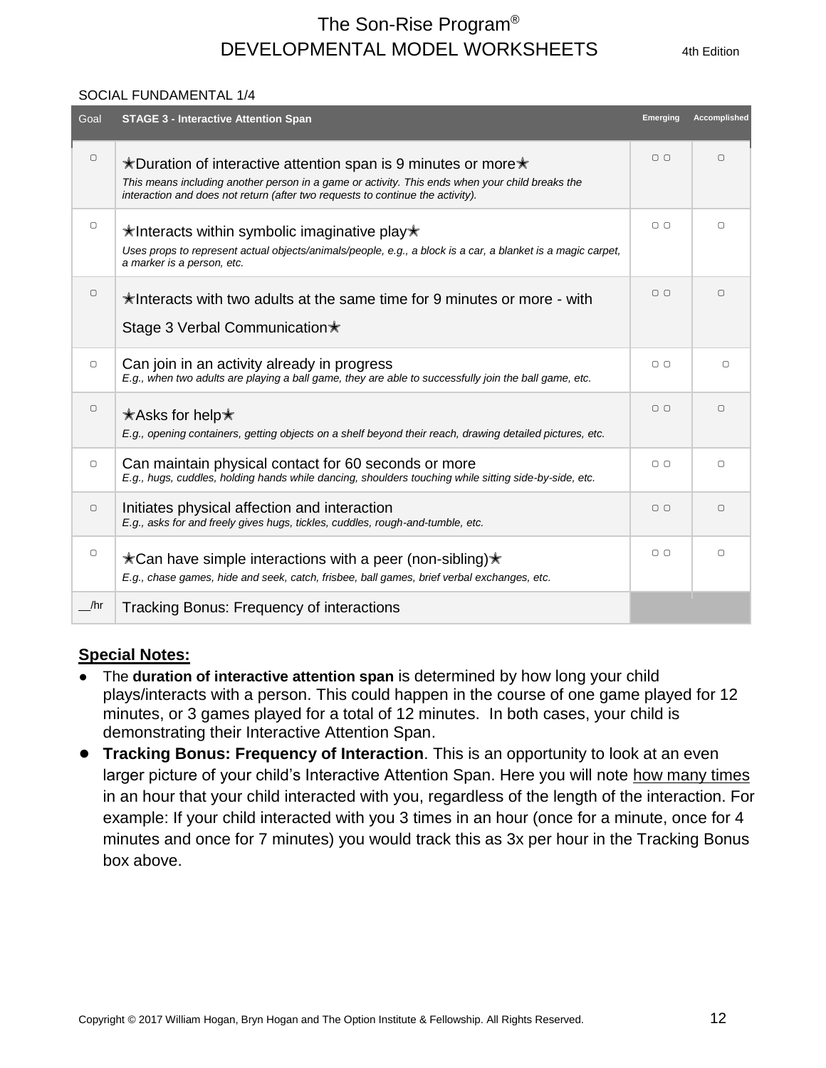#### SOCIAL FUNDAMENTAL 1/4

| Goal             | <b>STAGE 3 - Interactive Attention Span</b>                                                                                                                                                                                                                      | Emerging      | Accomplished |
|------------------|------------------------------------------------------------------------------------------------------------------------------------------------------------------------------------------------------------------------------------------------------------------|---------------|--------------|
| $\Box$           | $\star$ Duration of interactive attention span is 9 minutes or more $\star$<br>This means including another person in a game or activity. This ends when your child breaks the<br>interaction and does not return (after two requests to continue the activity). | $\Box$ $\Box$ | $\Box$       |
| $\Box$           | $\star$ Interacts within symbolic imaginative play $\star$<br>Uses props to represent actual objects/animals/people, e.g., a block is a car, a blanket is a magic carpet,<br>a marker is a person, etc.                                                          | $\Box$        | $\Box$       |
| $\Box$           | $\star$ Interacts with two adults at the same time for 9 minutes or more - with<br>Stage 3 Verbal Communication *                                                                                                                                                | $\Box$ $\Box$ | $\Box$       |
| $\Box$           | Can join in an activity already in progress<br>E.g., when two adults are playing a ball game, they are able to successfully join the ball game, etc.                                                                                                             | $\Box$ $\Box$ | $\Box$       |
| $\hfill \square$ | $\star$ Asks for help $\star$<br>E.g., opening containers, getting objects on a shelf beyond their reach, drawing detailed pictures, etc.                                                                                                                        | $\Box$ $\Box$ | $\Box$       |
| $\Box$           | Can maintain physical contact for 60 seconds or more<br>E.g., hugs, cuddles, holding hands while dancing, shoulders touching while sitting side-by-side, etc.                                                                                                    | $\Box$ $\Box$ | $\Box$       |
| $\Box$           | Initiates physical affection and interaction<br>E.g., asks for and freely gives hugs, tickles, cuddles, rough-and-tumble, etc.                                                                                                                                   | $\Box$ $\Box$ | $\Box$       |
| $\Box$           | $\star$ Can have simple interactions with a peer (non-sibling) $\star$<br>E.g., chase games, hide and seek, catch, frisbee, ball games, brief verbal exchanges, etc.                                                                                             | $\Box$        | $\Box$       |
| /hr              | Tracking Bonus: Frequency of interactions                                                                                                                                                                                                                        |               |              |

#### **Special Notes:**

- The **duration of interactive attention span** is determined by how long your child plays/interacts with a person. This could happen in the course of one game played for 12 minutes, or 3 games played for a total of 12 minutes. In both cases, your child is demonstrating their Interactive Attention Span.
- **Tracking Bonus: Frequency of Interaction**. This is an opportunity to look at an even larger picture of your child's Interactive Attention Span. Here you will note how many times in an hour that your child interacted with you, regardless of the length of the interaction. For example: If your child interacted with you 3 times in an hour (once for a minute, once for 4 minutes and once for 7 minutes) you would track this as 3x per hour in the Tracking Bonus box above.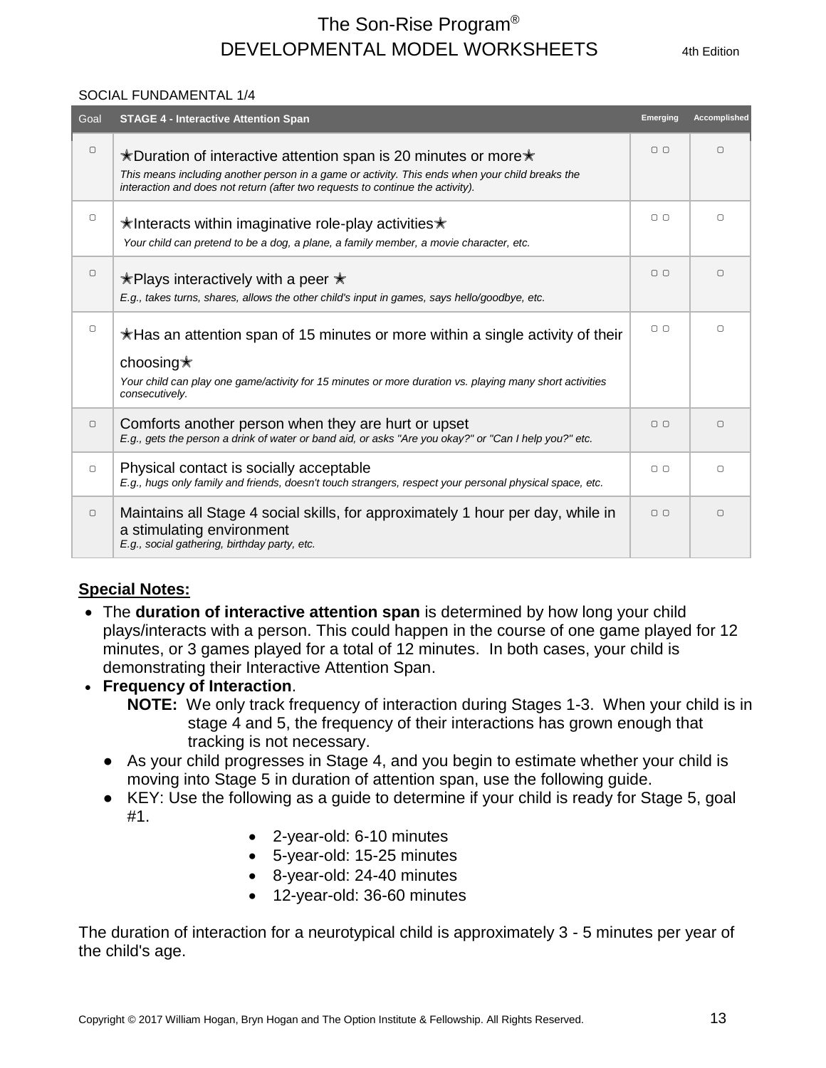#### SOCIAL FUNDAMENTAL 1/4

| Goal             | <b>STAGE 4 - Interactive Attention Span</b>                                                                                                                                                                                                                       | <b>Emerging</b> | Accomplished |
|------------------|-------------------------------------------------------------------------------------------------------------------------------------------------------------------------------------------------------------------------------------------------------------------|-----------------|--------------|
| $\hfill \square$ | $\star$ Duration of interactive attention span is 20 minutes or more $\star$<br>This means including another person in a game or activity. This ends when your child breaks the<br>interaction and does not return (after two requests to continue the activity). | $\Box$          | $\Box$       |
| $\Box$           | $\star$ Interacts within imaginative role-play activities $\star$<br>Your child can pretend to be a dog, a plane, a family member, a movie character, etc.                                                                                                        | $\Box$          | $\Box$       |
| О                | $\star$ Plays interactively with a peer $\star$<br>E.g., takes turns, shares, allows the other child's input in games, says hello/goodbye, etc.                                                                                                                   | $\Box$          | $\Box$       |
| $\hfill \Box$    | $\star$ Has an attention span of 15 minutes or more within a single activity of their<br>choosing $\star$<br>Your child can play one game/activity for 15 minutes or more duration vs. playing many short activities<br>consecutively.                            | $\Box$          | $\Box$       |
| $\Box$           | Comforts another person when they are hurt or upset<br>E.g., gets the person a drink of water or band aid, or asks "Are you okay?" or "Can I help you?" etc.                                                                                                      | $\Box$          | $\Box$       |
| О                | Physical contact is socially acceptable<br>E.g., hugs only family and friends, doesn't touch strangers, respect your personal physical space, etc.                                                                                                                | n n             | $\Box$       |
| $\Box$           | Maintains all Stage 4 social skills, for approximately 1 hour per day, while in<br>a stimulating environment<br>E.g., social gathering, birthday party, etc.                                                                                                      | $\Box$          | $\Box$       |

#### **Special Notes:**

 The **duration of interactive attention span** is determined by how long your child plays/interacts with a person. This could happen in the course of one game played for 12 minutes, or 3 games played for a total of 12 minutes. In both cases, your child is demonstrating their Interactive Attention Span.

#### **Frequency of Interaction**.

- **NOTE:** We only track frequency of interaction during Stages 1-3. When your child is in stage 4 and 5, the frequency of their interactions has grown enough that tracking is not necessary.
- As your child progresses in Stage 4, and you begin to estimate whether your child is moving into Stage 5 in duration of attention span, use the following guide.
- KEY: Use the following as a guide to determine if your child is ready for Stage 5, goal #1.
	- 2-year-old: 6-10 minutes
	- 5-year-old: 15-25 minutes
	- 8-year-old: 24-40 minutes
	- 12-year-old: 36-60 minutes

The duration of interaction for a neurotypical child is approximately 3 - 5 minutes per year of the child's age.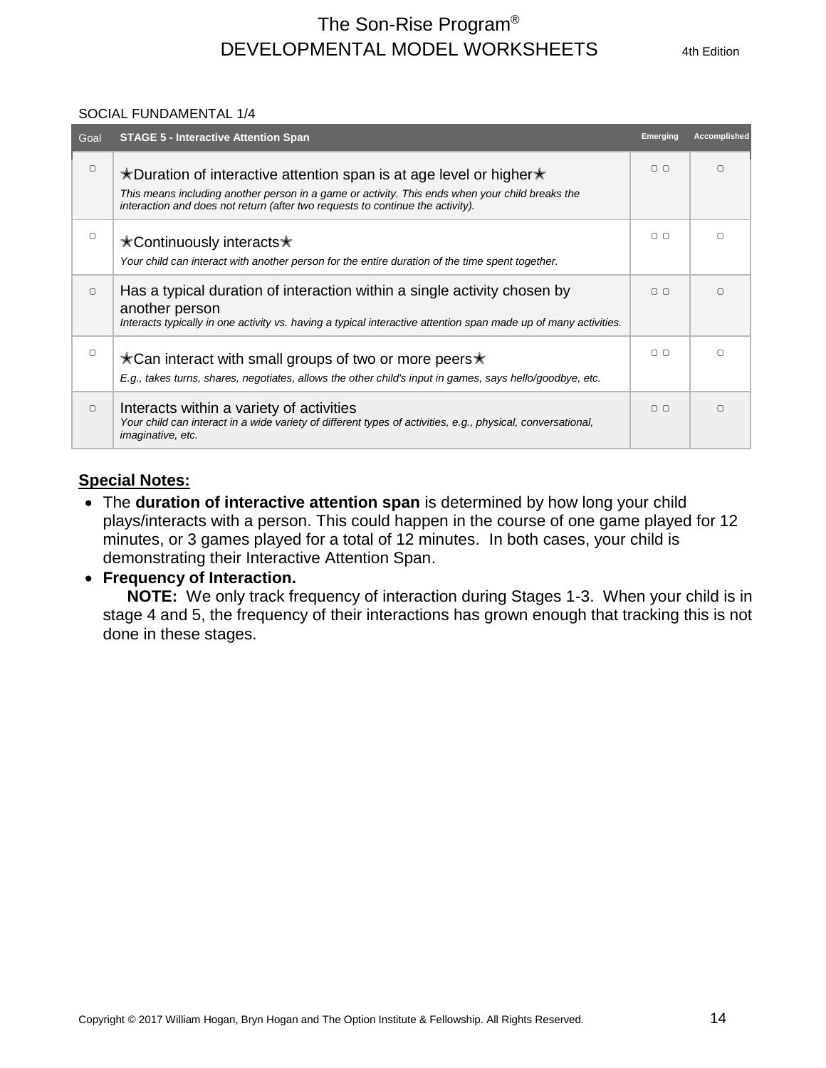#### SOCIAL FUNDAMENTAL 1/4

| Goal   | <b>STAGE 5 - Interactive Attention Span</b>                                                                                                                                                                                                                           | Emeraina      | <b>Accomplished</b> |
|--------|-----------------------------------------------------------------------------------------------------------------------------------------------------------------------------------------------------------------------------------------------------------------------|---------------|---------------------|
| $\Box$ | $\star$ Duration of interactive attention span is at age level or higher $\star$<br>This means including another person in a game or activity. This ends when your child breaks the<br>interaction and does not return (after two requests to continue the activity). | $\Box$ \Box   | ∩                   |
| $\Box$ | <b>*Continuously interacts</b> *<br>Your child can interact with another person for the entire duration of the time spent together.                                                                                                                                   | $\Box$ $\Box$ | ∩                   |
| $\Box$ | Has a typical duration of interaction within a single activity chosen by<br>another person<br>Interacts typically in one activity vs. having a typical interactive attention span made up of many activities.                                                         | $\cap$ $\cap$ | Π                   |
| $\Box$ | $\star$ Can interact with small groups of two or more peers $\star$<br>E.g., takes turns, shares, negotiates, allows the other child's input in games, says hello/goodbye, etc.                                                                                       | $\Box$ $\Box$ | ∩                   |
| $\Box$ | Interacts within a variety of activities<br>Your child can interact in a wide variety of different types of activities, e.g., physical, conversational,<br><i>imaginative</i> , etc.                                                                                  | $\Box$        | Π                   |

#### **Special Notes:**

- The **duration of interactive attention span** is determined by how long your child plays/interacts with a person. This could happen in the course of one game played for 12 minutes, or 3 games played for a total of 12 minutes. In both cases, your child is demonstrating their Interactive Attention Span.
- **Frequency of Interaction.**

**NOTE:** We only track frequency of interaction during Stages 1-3. When your child is in stage 4 and 5, the frequency of their interactions has grown enough that tracking this is not done in these stages.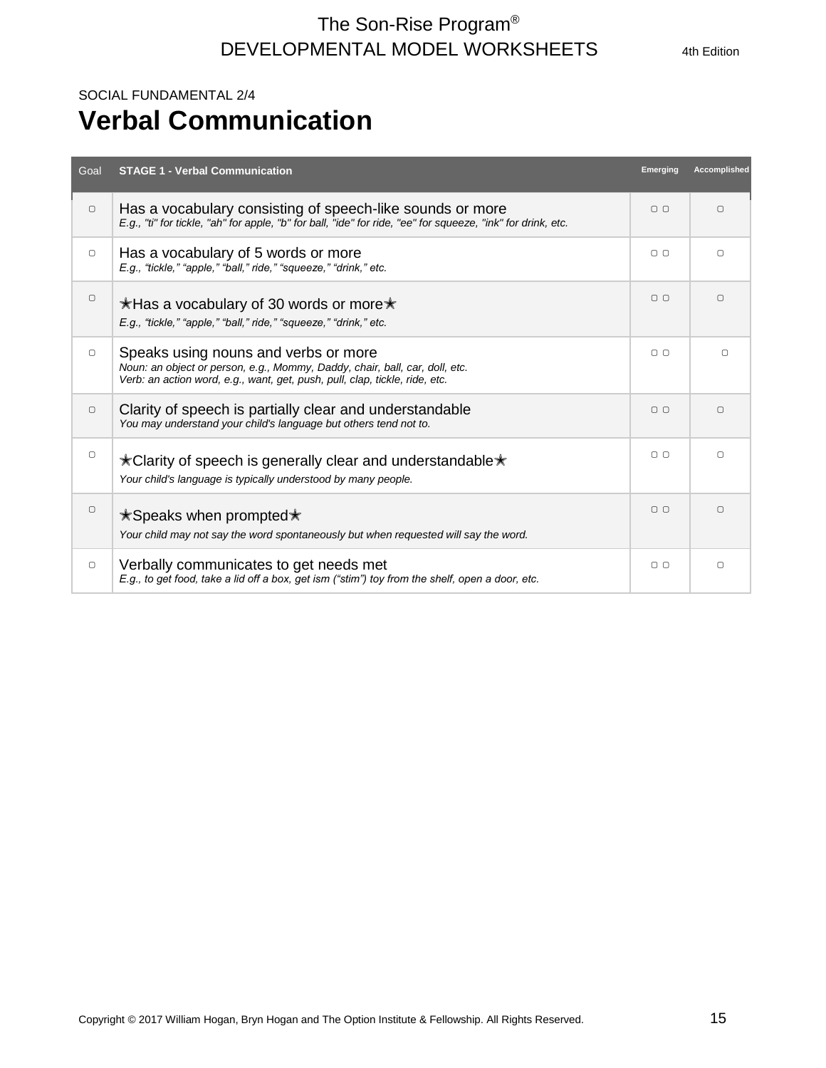#### SOCIAL FUNDAMENTAL 2/4

## **Verbal Communication**

| Goal   | <b>STAGE 1 - Verbal Communication</b>                                                                                                                                                              | Emerging      | Accomplished |
|--------|----------------------------------------------------------------------------------------------------------------------------------------------------------------------------------------------------|---------------|--------------|
| $\Box$ | Has a vocabulary consisting of speech-like sounds or more<br>E.g., "ti" for tickle, "ah" for apple, "b" for ball, "ide" for ride, "ee" for squeeze, "ink" for drink, etc.                          | $\cap$ $\cap$ | $\Box$       |
| $\Box$ | Has a vocabulary of 5 words or more<br>E.g., "tickle," "apple," "ball," ride," "squeeze," "drink," etc.                                                                                            | $\Box$        | $\Box$       |
| $\Box$ | *Has a vocabulary of 30 words or more *<br>E.q., "tickle," "apple," "ball," ride," "squeeze," "drink," etc.                                                                                        | $\Box$        | $\Box$       |
| $\Box$ | Speaks using nouns and verbs or more<br>Noun: an object or person, e.g., Mommy, Daddy, chair, ball, car, doll, etc.<br>Verb: an action word, e.g., want, get, push, pull, clap, tickle, ride, etc. | n n           | ∩            |
| $\Box$ | Clarity of speech is partially clear and understandable<br>You may understand your child's language but others tend not to.                                                                        | $\Box$        | $\Box$       |
| $\Box$ | $\star$ Clarity of speech is generally clear and understandable $\star$<br>Your child's language is typically understood by many people.                                                           | nп            | $\Box$       |
| $\Box$ | $\star$ Speaks when prompted $\star$<br>Your child may not say the word spontaneously but when requested will say the word.                                                                        | $\Box$        | $\Box$       |
| $\Box$ | Verbally communicates to get needs met<br>E.g., to get food, take a lid off a box, get ism ("stim") toy from the shelf, open a door, etc.                                                          | $\Box$        | $\Box$       |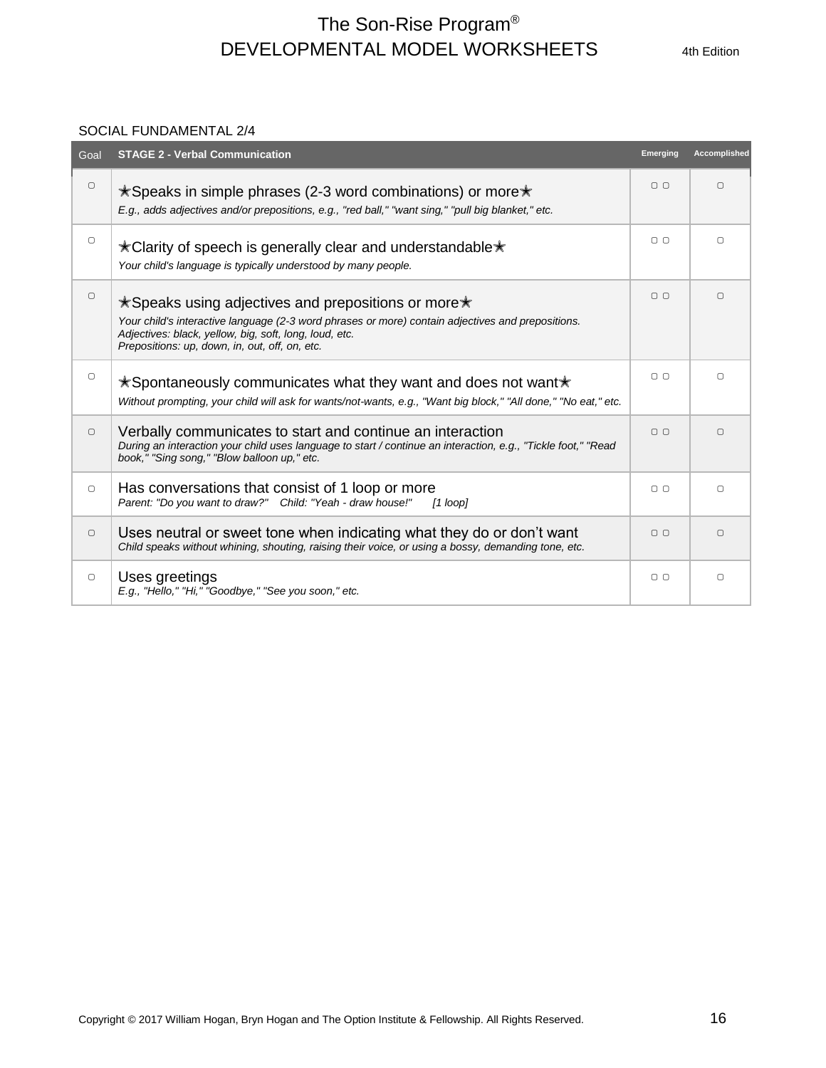| Goal             | <b>STAGE 2 - Verbal Communication</b>                                                                                                                                                                                                                                             | <b>Emerging</b> | <b>Accomplished</b> |
|------------------|-----------------------------------------------------------------------------------------------------------------------------------------------------------------------------------------------------------------------------------------------------------------------------------|-----------------|---------------------|
| $\hfill \square$ | $\star$ Speaks in simple phrases (2-3 word combinations) or more $\star$<br>E.g., adds adjectives and/or prepositions, e.g., "red ball," "want sing," "pull big blanket," etc.                                                                                                    | n n             | $\Box$              |
| $\Box$           | *Clarity of speech is generally clear and understandable*<br>Your child's language is typically understood by many people.                                                                                                                                                        | n n             | $\Box$              |
| $\Box$           | $\star$ Speaks using adjectives and prepositions or more $\star$<br>Your child's interactive language (2-3 word phrases or more) contain adjectives and prepositions.<br>Adjectives: black, yellow, big, soft, long, loud, etc.<br>Prepositions: up. down, in, out, off, on, etc. | n n             | $\Box$              |
| $\Box$           | $\star$ Spontaneously communicates what they want and does not want $\star$<br>Without prompting, your child will ask for wants/not-wants, e.g., "Want big block," "All done," "No eat," etc.                                                                                     | $\Box$          | $\Box$              |
| $\Box$           | Verbally communicates to start and continue an interaction<br>During an interaction your child uses language to start / continue an interaction, e.g., "Tickle foot," "Read<br>book," "Sing song," "Blow balloon up," etc.                                                        | $\Box$          | $\Box$              |
| $\Box$           | Has conversations that consist of 1 loop or more<br>Parent: "Do you want to draw?" Child: "Yeah - draw house!"<br>[1 loop]                                                                                                                                                        | n n             | $\Box$              |
| $\Box$           | Uses neutral or sweet tone when indicating what they do or don't want<br>Child speaks without whining, shouting, raising their voice, or using a bossy, demanding tone, etc.                                                                                                      | $\Box$          | $\Box$              |
| $\Box$           | Uses greetings<br>E.g., "Hello," "Hi," "Goodbye," "See you soon," etc.                                                                                                                                                                                                            | $\Box$ $\Box$   | $\Box$              |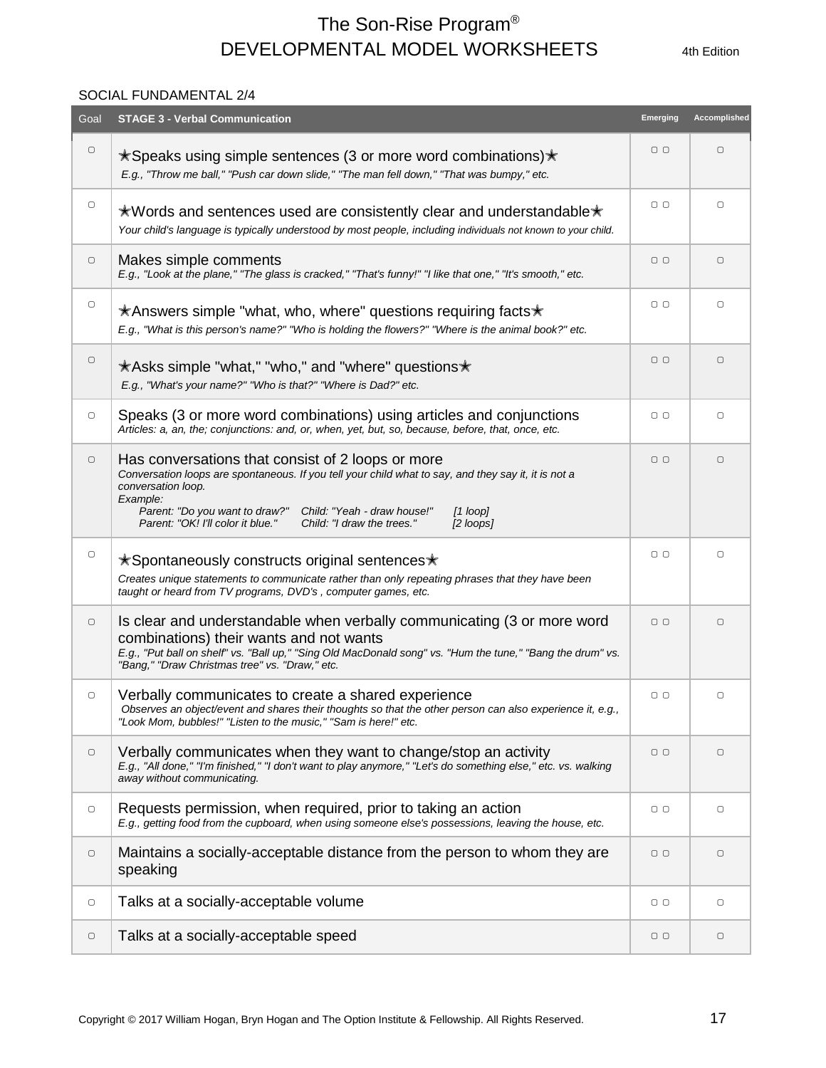| Goal             | <b>STAGE 3 - Verbal Communication</b>                                                                                                                                                                                                                                                                                                                      | <b>Emerging</b>                                    | Accomplished     |
|------------------|------------------------------------------------------------------------------------------------------------------------------------------------------------------------------------------------------------------------------------------------------------------------------------------------------------------------------------------------------------|----------------------------------------------------|------------------|
| $\hfill \square$ | $\star$ Speaks using simple sentences (3 or more word combinations) $\star$<br>E.g., "Throw me ball," "Push car down slide," "The man fell down," "That was bumpy," etc.                                                                                                                                                                                   | $\Box$                                             | $\Box$           |
| $\hfill \Box$    | $*$ Words and sentences used are consistently clear and understandable $*$<br>Your child's language is typically understood by most people, including individuals not known to your child.                                                                                                                                                                 | $\cup$ $\cup$                                      | $\Box$           |
| $\hfill \Box$    | Makes simple comments<br>E.g., "Look at the plane," "The glass is cracked," "That's funny!" "I like that one," "It's smooth," etc.                                                                                                                                                                                                                         | $\begin{array}{c} \square \end{array}$             | $\Box$           |
| $\hfill \Box$    | $\star$ Answers simple "what, who, where" questions requiring facts $\star$<br>E.g., "What is this person's name?" "Who is holding the flowers?" "Where is the animal book?" etc.                                                                                                                                                                          | $\Box$                                             | $\Box$           |
| $\Box$           | $\star$ Asks simple "what," "who," and "where" questions $\star$<br>E.g., "What's your name?" "Who is that?" "Where is Dad?" etc.                                                                                                                                                                                                                          | $\Box$                                             | $\Box$           |
| $\hfill \Box$    | Speaks (3 or more word combinations) using articles and conjunctions<br>Articles: a, an, the; conjunctions: and, or, when, yet, but, so, because, before, that, once, etc.                                                                                                                                                                                 | $\cup$ $\cup$                                      | $\Box$           |
| $\hfill \square$ | Has conversations that consist of 2 loops or more<br>Conversation loops are spontaneous. If you tell your child what to say, and they say it, it is not a<br>conversation loop.<br>Example:<br>Parent: "Do you want to draw?"<br>Child: "Yeah - draw house!"<br>$[1$ loop]<br>Parent: "OK! I'll color it blue."<br>Child: "I draw the trees."<br>[2 loops] | $\Box$                                             | $\Box$           |
| $\hfill \Box$    | <b>★Spontaneously constructs original sentences</b> ★<br>Creates unique statements to communicate rather than only repeating phrases that they have been<br>taught or heard from TV programs, DVD's, computer games, etc.                                                                                                                                  | $\Box$                                             | $\Box$           |
| $\hfill \square$ | Is clear and understandable when verbally communicating (3 or more word<br>combinations) their wants and not wants<br>E.g., "Put ball on shelf" vs. "Ball up," "Sing Old MacDonald song" vs. "Hum the tune," "Bang the drum" vs.<br>"Bang," "Draw Christmas tree" vs. "Draw," etc.                                                                         | $\Box$                                             | $\Box$           |
| $\Box$           | Verbally communicates to create a shared experience<br>Observes an object/event and shares their thoughts so that the other person can also experience it, e.g.,<br>"Look Mom, bubbles!" "Listen to the music," "Sam is here!" etc.                                                                                                                        | $\begin{array}{c} \square \end{array}$             | $\hfill \Box$    |
| $\Box$           | Verbally communicates when they want to change/stop an activity<br>E.g., "All done," "I'm finished," "I don't want to play anymore," "Let's do something else," etc. vs. walking<br>away without communicating.                                                                                                                                            | $\begin{array}{ccc} & \circ & \circ \end{array}$   | $\Box$           |
| $\hfill \Box$    | Requests permission, when required, prior to taking an action<br>E.g., getting food from the cupboard, when using someone else's possessions, leaving the house, etc.                                                                                                                                                                                      | $\begin{array}{c} \square \end{array}$             | $\Box$           |
| $\hfill \square$ | Maintains a socially-acceptable distance from the person to whom they are<br>speaking                                                                                                                                                                                                                                                                      | $\begin{array}{ccc} \square & \square \end{array}$ | $\Box$           |
| $\hfill \Box$    | Talks at a socially-acceptable volume                                                                                                                                                                                                                                                                                                                      | $\begin{array}{c} \square \end{array}$             | $\Box$           |
| $\hfill \square$ | Talks at a socially-acceptable speed                                                                                                                                                                                                                                                                                                                       | $\begin{array}{c} \square \end{array}$             | $\hfill \square$ |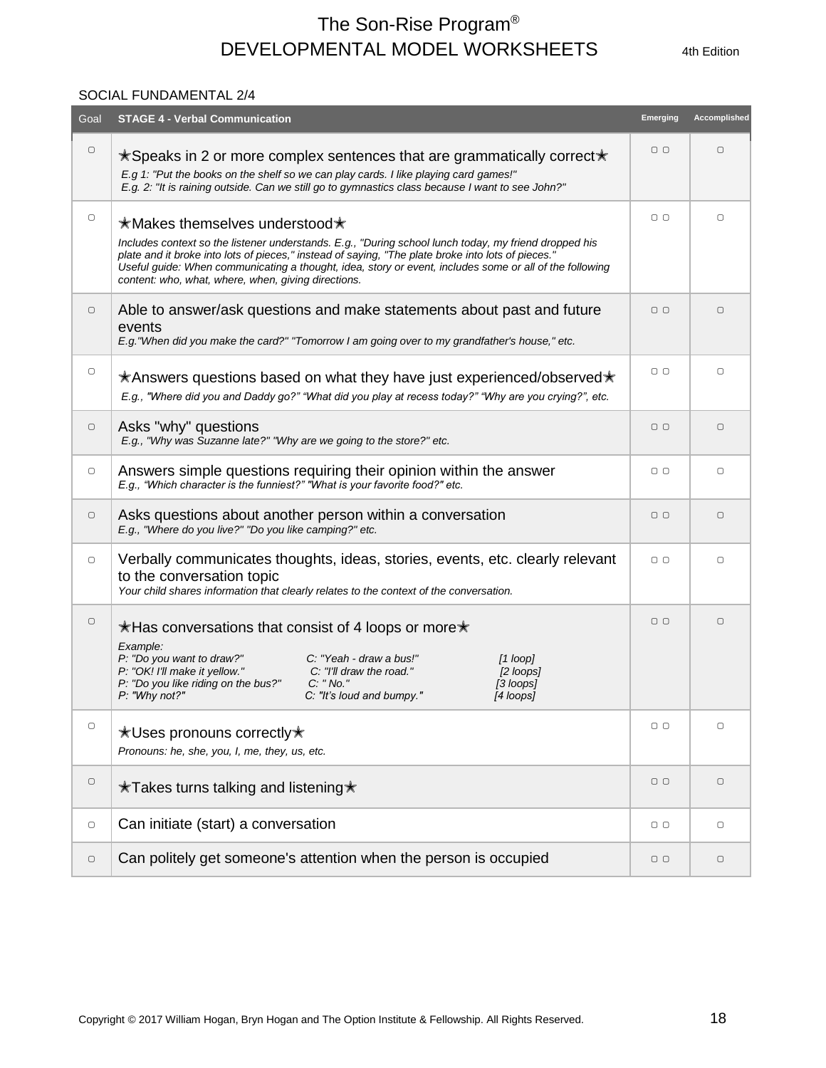| Goal             | <b>STAGE 4 - Verbal Communication</b>                                                                                                                                                                                                                                                                                                                                                                                        | <b>Emerging</b>                                    | Accomplished     |
|------------------|------------------------------------------------------------------------------------------------------------------------------------------------------------------------------------------------------------------------------------------------------------------------------------------------------------------------------------------------------------------------------------------------------------------------------|----------------------------------------------------|------------------|
| $\hfill \Box$    | $\star$ Speaks in 2 or more complex sentences that are grammatically correct $\star$<br>E.g 1: "Put the books on the shelf so we can play cards. I like playing card games!"<br>E.g. 2: "It is raining outside. Can we still go to gymnastics class because I want to see John?"                                                                                                                                             | $\Box$                                             | $\Box$           |
| $\hfill \Box$    | $\star$ Makes themselves understood $\star$<br>Includes context so the listener understands. E.g., "During school lunch today, my friend dropped his<br>plate and it broke into lots of pieces," instead of saying, "The plate broke into lots of pieces."<br>Useful quide: When communicating a thought, idea, story or event, includes some or all of the following<br>content: who, what, where, when, giving directions. | $\Box$                                             | $\Box$           |
| $\Box$           | Able to answer/ask questions and make statements about past and future<br>events<br>E.g. "When did you make the card?" "Tomorrow I am going over to my grandfather's house," etc.                                                                                                                                                                                                                                            | $\Box$                                             | $\Box$           |
| $\Box$           | $\star$ Answers questions based on what they have just experienced/observed $\star$<br>E.g., "Where did you and Daddy go?" "What did you play at recess today?" "Why are you crying?", etc.                                                                                                                                                                                                                                  | $\Box$                                             | $\Box$           |
| $\hfill \square$ | Asks "why" questions<br>E.g., "Why was Suzanne late?" "Why are we going to the store?" etc.                                                                                                                                                                                                                                                                                                                                  | $\Box$                                             | $\Box$           |
| $\Box$           | Answers simple questions requiring their opinion within the answer<br>E.g., "Which character is the funniest?" "What is your favorite food?" etc.                                                                                                                                                                                                                                                                            | $\Box$                                             | $\Box$           |
| $\Box$           | Asks questions about another person within a conversation<br>E.g., "Where do you live?" "Do you like camping?" etc.                                                                                                                                                                                                                                                                                                          | $\Box$                                             | $\Box$           |
| $\Box$           | Verbally communicates thoughts, ideas, stories, events, etc. clearly relevant<br>to the conversation topic<br>Your child shares information that clearly relates to the context of the conversation.                                                                                                                                                                                                                         | $\Box$                                             | $\Box$           |
| $\hfill \square$ | $\star$ Has conversations that consist of 4 loops or more $\star$<br>Example:<br>P: "Do you want to draw?"<br>C: "Yeah - draw a bus!"<br>$\lceil 1 \rceil$ loop $\lceil$<br>P: "OK! I'll make it yellow."<br>C: "I'll draw the road."<br>[2 loops]<br>P: "Do you like riding on the bus?"<br>C: " No."<br>[3 loops]<br>P: "Why not?"<br>C: "It's loud and bumpy."<br>[4 loops]                                               | $\Box$                                             | $\Box$           |
| $\hfill \Box$    | <b>★Uses pronouns correctly★</b><br>Pronouns: he, she, you, I, me, they, us, etc.                                                                                                                                                                                                                                                                                                                                            | $\begin{array}{ccc} \square & \square \end{array}$ | $\Box$           |
| $\hfill \square$ | $\star$ Takes turns talking and listening $\star$                                                                                                                                                                                                                                                                                                                                                                            | $\begin{array}{ccc} \square & \square \end{array}$ | $\hfill \square$ |
| $\hfill \Box$    | Can initiate (start) a conversation                                                                                                                                                                                                                                                                                                                                                                                          | $\Box$                                             | $\Box$           |
| $\hfill \square$ | Can politely get someone's attention when the person is occupied                                                                                                                                                                                                                                                                                                                                                             | $\begin{array}{ccc} \square & \square \end{array}$ | $\hfill \Box$    |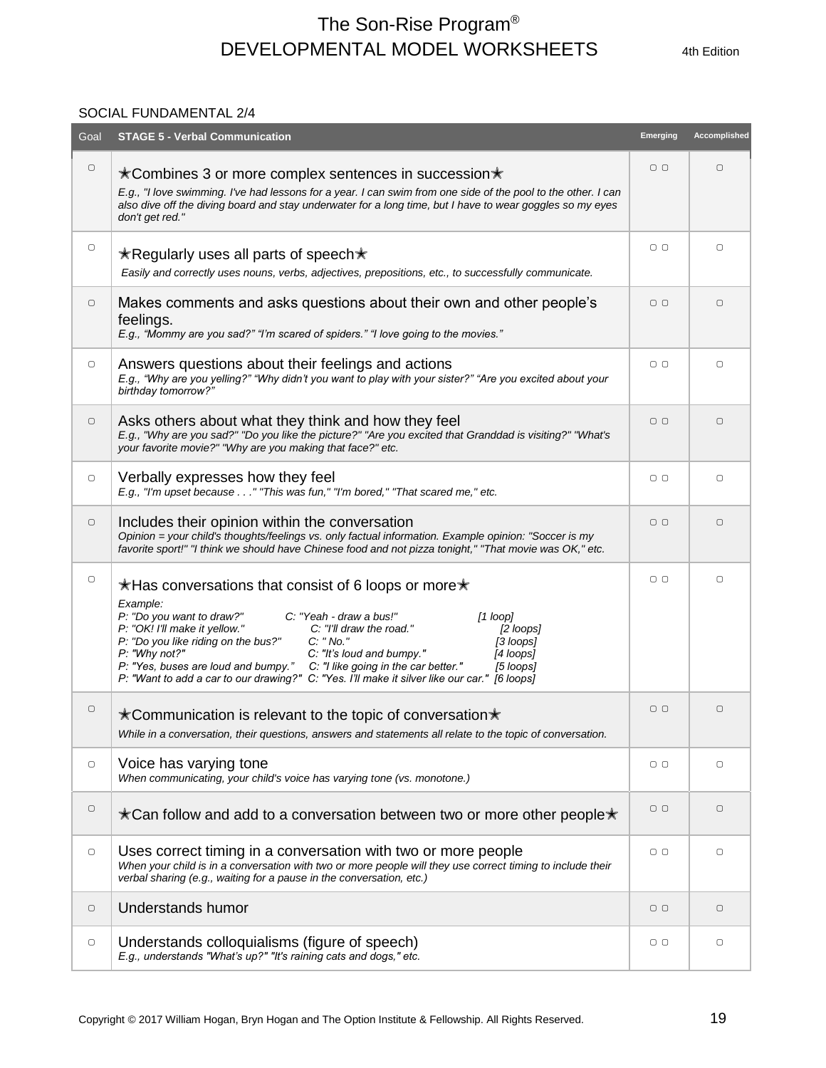| Goal             | <b>STAGE 5 - Verbal Communication</b>                                                                                                                                                                                                                                                                                                                                                                                                                                                                                                               | Emerging      | Accomplished     |
|------------------|-----------------------------------------------------------------------------------------------------------------------------------------------------------------------------------------------------------------------------------------------------------------------------------------------------------------------------------------------------------------------------------------------------------------------------------------------------------------------------------------------------------------------------------------------------|---------------|------------------|
| $\hfill \Box$    | *Combines 3 or more complex sentences in succession*<br>E.g., "I love swimming. I've had lessons for a year. I can swim from one side of the pool to the other. I can<br>also dive off the diving board and stay underwater for a long time, but I have to wear goggles so my eyes<br>don't get red."                                                                                                                                                                                                                                               | $\Box$        | $\Box$           |
| $\hfill \Box$    | $\star$ Regularly uses all parts of speech $\star$<br>Easily and correctly uses nouns, verbs, adjectives, prepositions, etc., to successfully communicate.                                                                                                                                                                                                                                                                                                                                                                                          | $\Box$        | $\Box$           |
| $\Box$           | Makes comments and asks questions about their own and other people's<br>feelings.<br>E.g., "Mommy are you sad?" "I'm scared of spiders." "I love going to the movies."                                                                                                                                                                                                                                                                                                                                                                              | $\Box$        | $\Box$           |
| $\Box$           | Answers questions about their feelings and actions<br>E.g., "Why are you yelling?" "Why didn't you want to play with your sister?" "Are you excited about your<br>birthday tomorrow?"                                                                                                                                                                                                                                                                                                                                                               | $\Box$        | $\Box$           |
| $\hfill \square$ | Asks others about what they think and how they feel<br>E.g., "Why are you sad?" "Do you like the picture?" "Are you excited that Granddad is visiting?" "What's<br>your favorite movie?" "Why are you making that face?" etc.                                                                                                                                                                                                                                                                                                                       | $\Box$        | $\Box$           |
| $\hfill \Box$    | Verbally expresses how they feel<br>E.g., "I'm upset because" "This was fun," "I'm bored," "That scared me," etc.                                                                                                                                                                                                                                                                                                                                                                                                                                   | $\Box$        | $\Box$           |
| $\Box$           | Includes their opinion within the conversation<br>Opinion = your child's thoughts/feelings vs. only factual information. Example opinion: "Soccer is my<br>favorite sport!" "I think we should have Chinese food and not pizza tonight," "That movie was OK," etc.                                                                                                                                                                                                                                                                                  | $\Box$        | $\Box$           |
| $\hfill \Box$    | $\star$ Has conversations that consist of 6 loops or more $\star$<br>Example:<br>P: "Do you want to draw?"<br>C. "Yeah - draw a bus!"<br>[1 loop]<br>C: "I'll draw the road."<br>P: "OK! I'll make it yellow."<br>[2 loops]<br>C: " No."<br>P: "Do you like riding on the bus?"<br>[3 loops]<br>P: "Why not?"<br>C: "It's loud and bumpy."<br>[4 loops]<br>P: "Yes, buses are loud and bumpy."<br>C: "I like going in the car better."<br>[5 loops]<br>P: "Want to add a car to our drawing?" C: "Yes. I'll make it silver like our car." [6 loops] | $\Box$        | $\Box$           |
| $\Box$           | *Communication is relevant to the topic of conversation*<br>While in a conversation, their questions, answers and statements all relate to the topic of conversation.                                                                                                                                                                                                                                                                                                                                                                               | $\Box$        | $\Box$           |
| $\Box$           | Voice has varying tone<br>When communicating, your child's voice has varying tone (vs. monotone.)                                                                                                                                                                                                                                                                                                                                                                                                                                                   | $\Box$        | $\Box$           |
| $\hfill \square$ | $\star$ Can follow and add to a conversation between two or more other people $\star$                                                                                                                                                                                                                                                                                                                                                                                                                                                               | $\Box$        | $\Box$           |
| $\Box$           | Uses correct timing in a conversation with two or more people<br>When your child is in a conversation with two or more people will they use correct timing to include their<br>verbal sharing (e.g., waiting for a pause in the conversation, etc.)                                                                                                                                                                                                                                                                                                 | $\Box$        | $\Box$           |
| $\Box$           | <b>Understands humor</b>                                                                                                                                                                                                                                                                                                                                                                                                                                                                                                                            | $\Box$ $\Box$ | $\hfill \square$ |
| $\hfill \Box$    | Understands colloquialisms (figure of speech)<br>E.g., understands "What's up?" "It's raining cats and dogs," etc.                                                                                                                                                                                                                                                                                                                                                                                                                                  | $\cup$ $\cup$ | $\hfill \Box$    |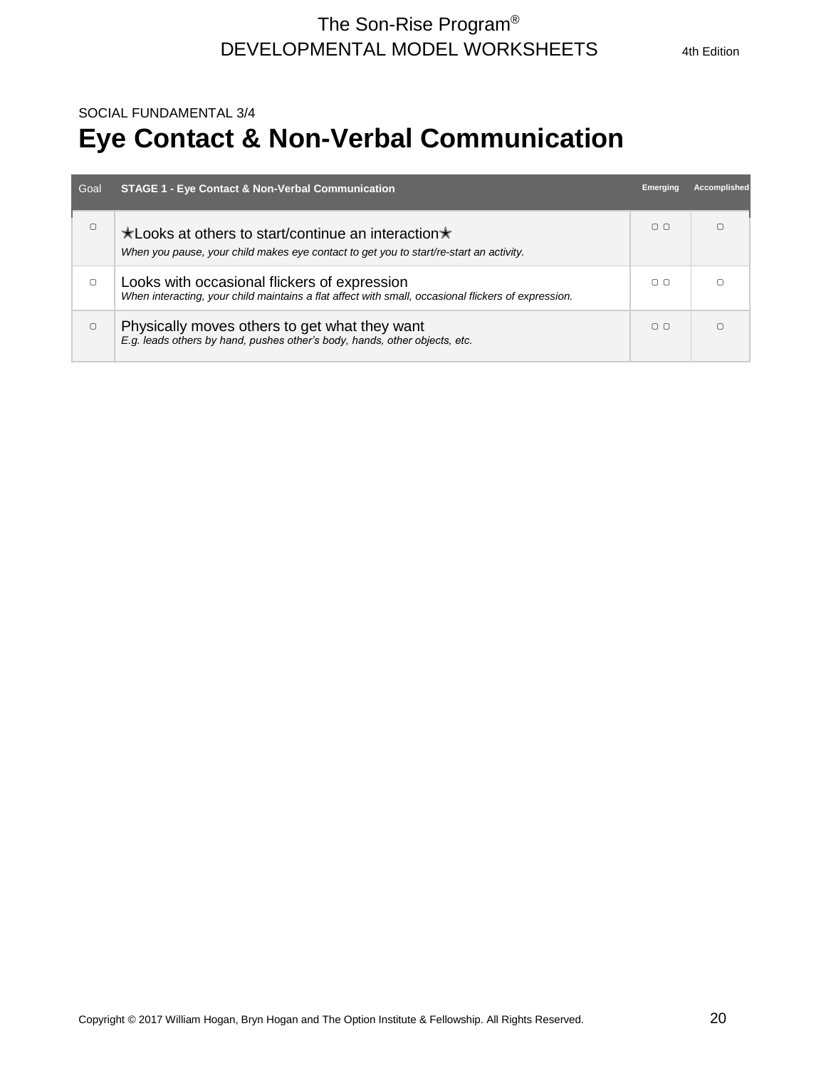#### SOCIAL FUNDAMENTAL 3/4

## **Eye Contact & Non-Verbal Communication**

| Goal   | <b>STAGE 1 - Eye Contact &amp; Non-Verbal Communication</b>                                                                                                | Emerging      | <b>Accomplished</b> |
|--------|------------------------------------------------------------------------------------------------------------------------------------------------------------|---------------|---------------------|
| $\Box$ | $\star$ Looks at others to start/continue an interaction $\star$<br>When you pause, your child makes eye contact to get you to start/re-start an activity. | $\cap$ $\cap$ |                     |
| $\Box$ | Looks with occasional flickers of expression<br>When interacting, your child maintains a flat affect with small, occasional flickers of expression.        | $\Box$        |                     |
| $\Box$ | Physically moves others to get what they want<br>E.g. leads others by hand, pushes other's body, hands, other objects, etc.                                | $\Box$        |                     |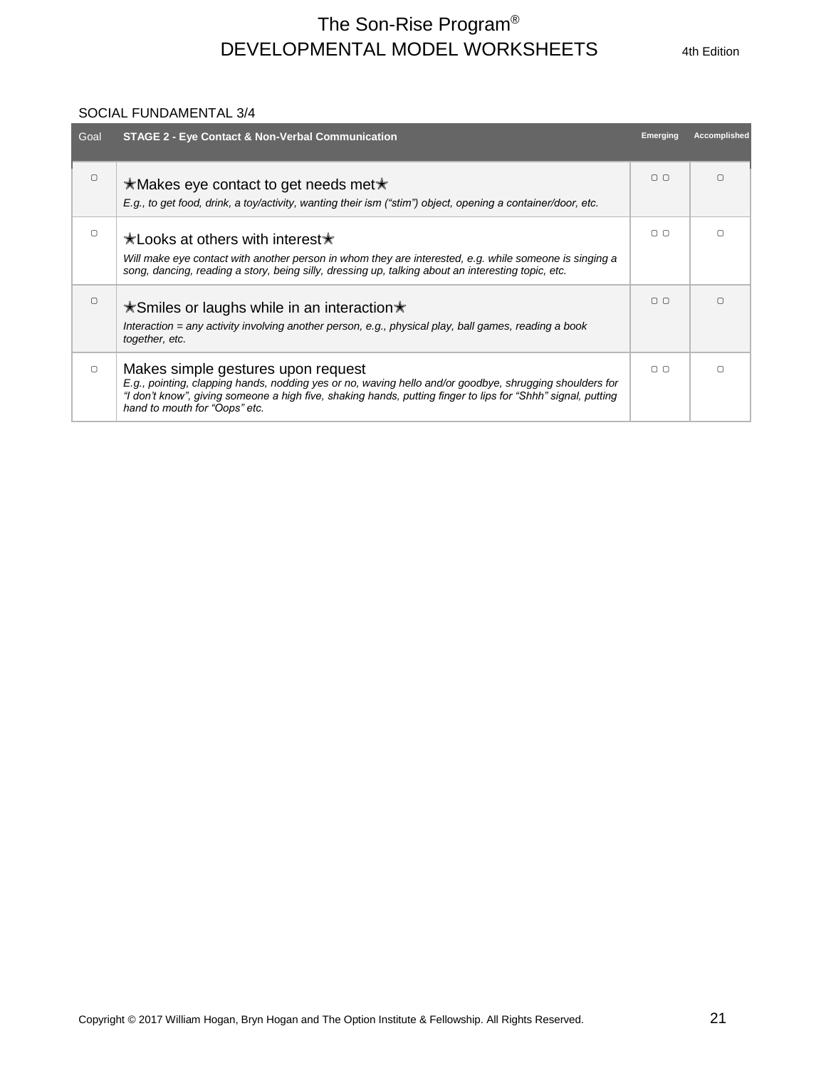| Goal   | <b>STAGE 2 - Eye Contact &amp; Non-Verbal Communication</b>                                                                                                                                                                                                                                    | Emeraina | <b>Accomplished</b> |
|--------|------------------------------------------------------------------------------------------------------------------------------------------------------------------------------------------------------------------------------------------------------------------------------------------------|----------|---------------------|
| $\Box$ | $\star$ Makes eye contact to get needs met $\star$<br>E.g., to get food, drink, a toy/activity, wanting their ism ("stim") object, opening a container/door, etc.                                                                                                                              | n n      | $\cap$              |
| $\Box$ | $\star$ Looks at others with interest $\star$<br>Will make eye contact with another person in whom they are interested, e.g. while someone is singing a<br>song, dancing, reading a story, being silly, dressing up, talking about an interesting topic, etc.                                  | n n      | ∩                   |
| $\Box$ | $\star$ Smiles or laughs while in an interaction $\star$<br>Interaction = any activity involving another person, e.g., physical play, ball games, reading a book<br>together, etc.                                                                                                             | n n      | $\cap$              |
| $\Box$ | Makes simple gestures upon request<br>E.g., pointing, clapping hands, nodding yes or no, waving hello and/or goodbye, shrugging shoulders for<br>"I don't know", giving someone a high five, shaking hands, putting finger to lips for "Shhh" signal, putting<br>hand to mouth for "Oops" etc. | n n      | $\Box$              |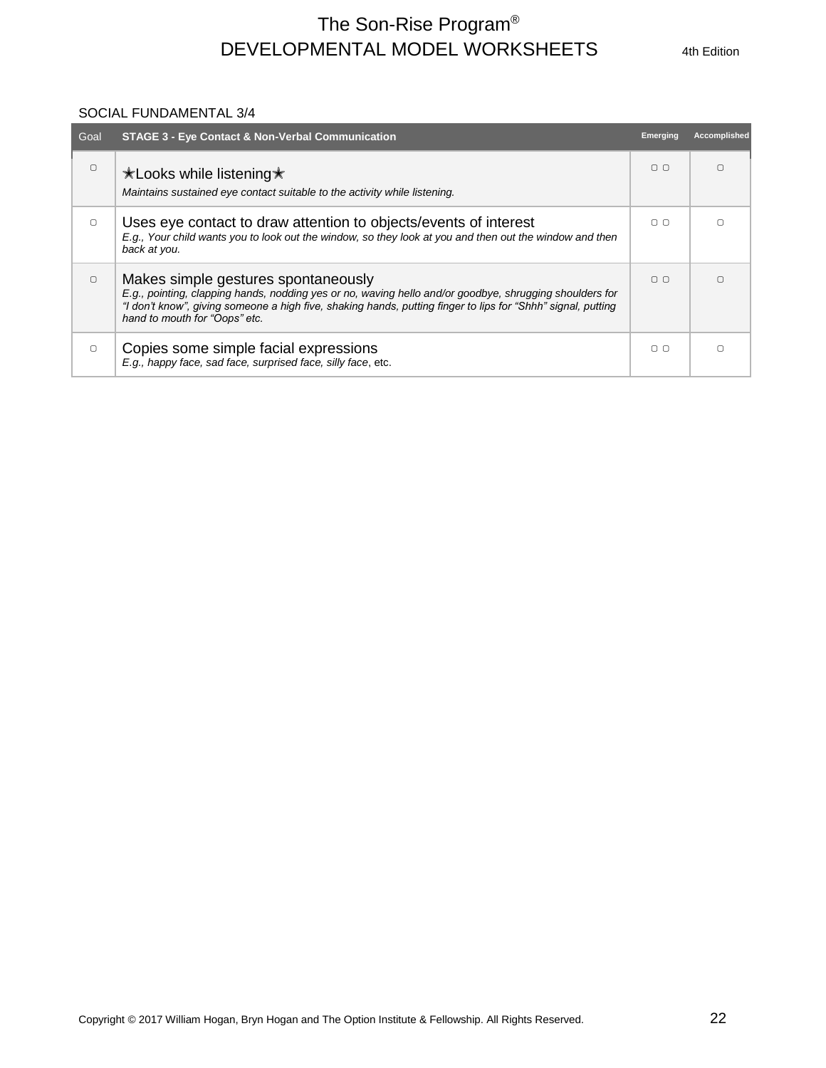| Goal   | <b>STAGE 3 - Eye Contact &amp; Non-Verbal Communication</b>                                                                                                                                                                                                                                     | Emeraina    | <b>Accomplished</b> |
|--------|-------------------------------------------------------------------------------------------------------------------------------------------------------------------------------------------------------------------------------------------------------------------------------------------------|-------------|---------------------|
| $\Box$ | $\star$ Looks while listening $\star$<br>Maintains sustained eye contact suitable to the activity while listening.                                                                                                                                                                              | $\Box$ \Box | n                   |
| $\Box$ | Uses eye contact to draw attention to objects/events of interest<br>E.g., Your child wants you to look out the window, so they look at you and then out the window and then<br>back at you.                                                                                                     | $\Box$      | Л                   |
| $\Box$ | Makes simple gestures spontaneously<br>E.g., pointing, clapping hands, nodding yes or no, waving hello and/or goodbye, shrugging shoulders for<br>"I don't know", giving someone a high five, shaking hands, putting finger to lips for "Shhh" signal, putting<br>hand to mouth for "Oops" etc. | $\Box$      | $\Box$              |
| $\Box$ | Copies some simple facial expressions<br>E.g., happy face, sad face, surprised face, silly face, etc.                                                                                                                                                                                           | $\Box$      | Л                   |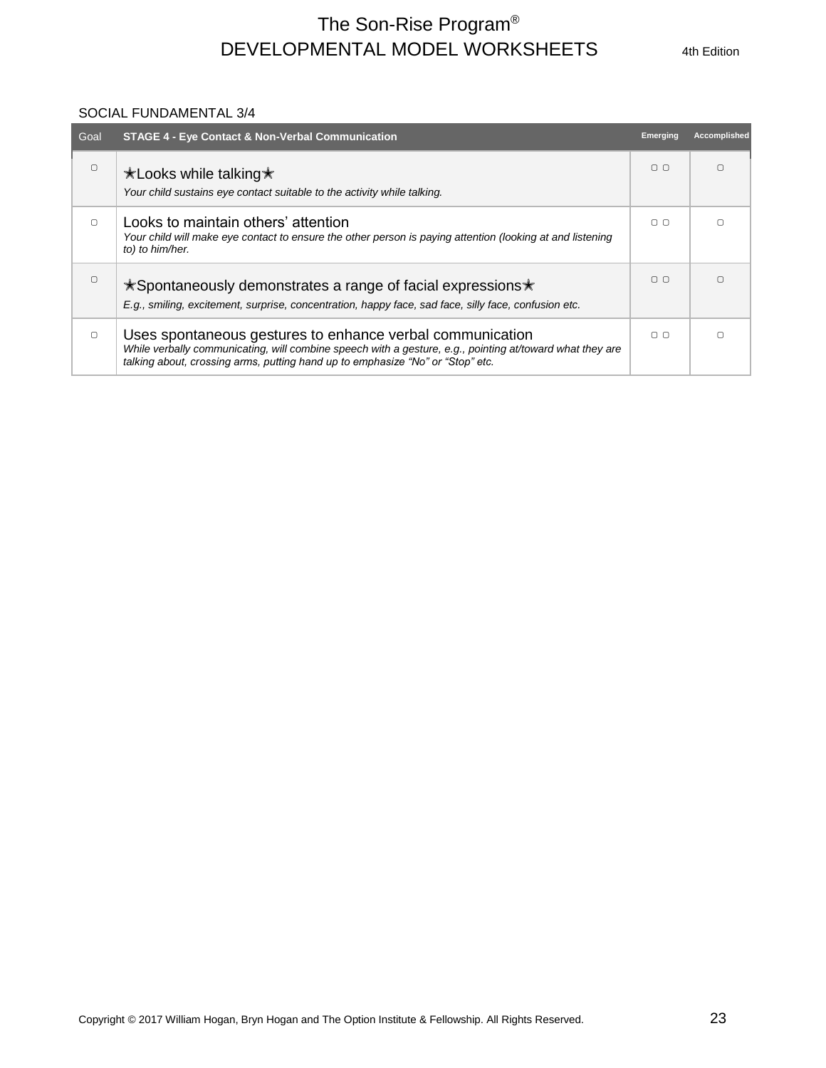| Goal   | <b>STAGE 4 - Eye Contact &amp; Non-Verbal Communication</b>                                                                                                                                                                                             | Emeraina      | <b>Accomplished</b> |
|--------|---------------------------------------------------------------------------------------------------------------------------------------------------------------------------------------------------------------------------------------------------------|---------------|---------------------|
| $\Box$ | $\star$ Looks while talking $\star$<br>Your child sustains eye contact suitable to the activity while talking.                                                                                                                                          | n n           |                     |
| $\Box$ | Looks to maintain others' attention<br>Your child will make eye contact to ensure the other person is paying attention (looking at and listening<br>to) to him/her.                                                                                     | n n           |                     |
| $\Box$ | *Spontaneously demonstrates a range of facial expressions*<br>E.g., smiling, excitement, surprise, concentration, happy face, sad face, silly face, confusion etc.                                                                                      | $\cap$ $\cap$ | ∩                   |
| $\Box$ | Uses spontaneous gestures to enhance verbal communication<br>While verbally communicating, will combine speech with a gesture, e.g., pointing at/toward what they are<br>talking about, crossing arms, putting hand up to emphasize "No" or "Stop" etc. | $\Box$        |                     |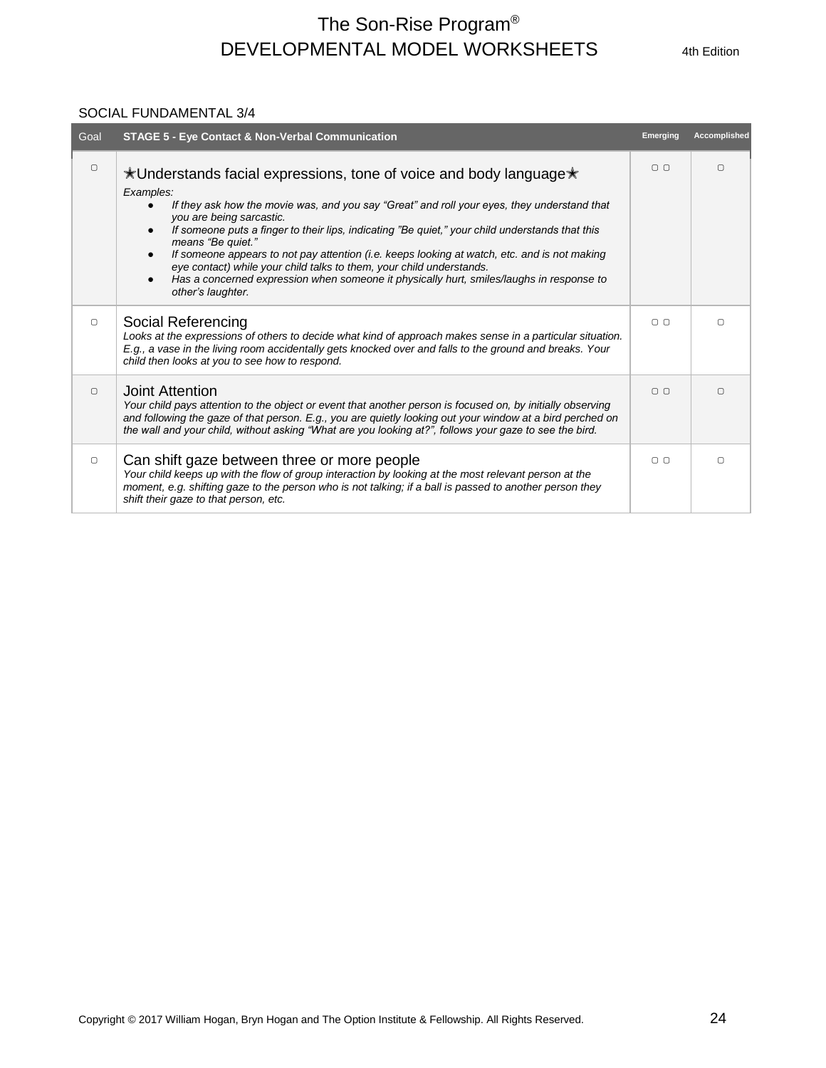| Goal   | <b>STAGE 5 - Eye Contact &amp; Non-Verbal Communication</b>                                                                                                                                                                                                                                                                                                                                                                                                                                                                                                                                                                              | Emerging      | <b>Accomplished</b> |
|--------|------------------------------------------------------------------------------------------------------------------------------------------------------------------------------------------------------------------------------------------------------------------------------------------------------------------------------------------------------------------------------------------------------------------------------------------------------------------------------------------------------------------------------------------------------------------------------------------------------------------------------------------|---------------|---------------------|
| $\Box$ | $\star$ Understands facial expressions, tone of voice and body language $\star$<br>Examples:<br>If they ask how the movie was, and you say "Great" and roll your eyes, they understand that<br>you are being sarcastic.<br>If someone puts a finger to their lips, indicating "Be quiet," your child understands that this<br>means "Be quiet."<br>If someone appears to not pay attention (i.e. keeps looking at watch, etc. and is not making<br>eye contact) while your child talks to them, your child understands.<br>Has a concerned expression when someone it physically hurt, smiles/laughs in response to<br>other's laughter. | $\cap$ $\cap$ | ∩                   |
| $\Box$ | Social Referencing<br>Looks at the expressions of others to decide what kind of approach makes sense in a particular situation.<br>E.g., a vase in the living room accidentally gets knocked over and falls to the ground and breaks. Your<br>child then looks at you to see how to respond.                                                                                                                                                                                                                                                                                                                                             | $\Box$        | Ω                   |
| $\Box$ | Joint Attention<br>Your child pays attention to the object or event that another person is focused on, by initially observing<br>and following the gaze of that person. E.g., you are quietly looking out your window at a bird perched on<br>the wall and your child, without asking "What are you looking at?", follows your gaze to see the bird.                                                                                                                                                                                                                                                                                     | $\Box$        | $\Box$              |
| $\Box$ | Can shift gaze between three or more people<br>Your child keeps up with the flow of group interaction by looking at the most relevant person at the<br>moment, e.g. shifting gaze to the person who is not talking; if a ball is passed to another person they<br>shift their gaze to that person, etc.                                                                                                                                                                                                                                                                                                                                  | $\Box$        | $\Box$              |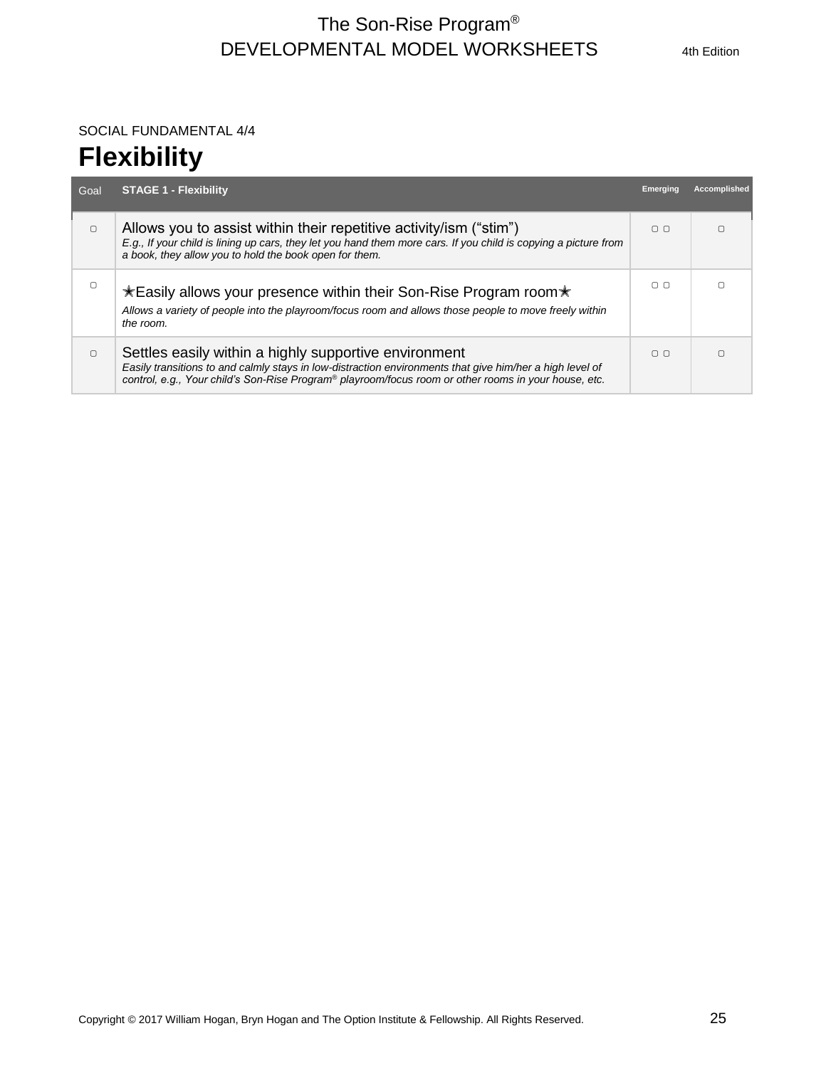#### SOCIAL FUNDAMENTAL 4/4

## **Flexibility**

| Goal   | <b>STAGE 1 - Flexibility</b>                                                                                                                                                                                                                                              | <b>Emerging</b> | <b>Accomplished</b> |
|--------|---------------------------------------------------------------------------------------------------------------------------------------------------------------------------------------------------------------------------------------------------------------------------|-----------------|---------------------|
| $\Box$ | Allows you to assist within their repetitive activity/ism ("stim")<br>E.g., If your child is lining up cars, they let you hand them more cars. If you child is copying a picture from<br>a book, they allow you to hold the book open for them.                           | $\Box$          | ∩                   |
| $\Box$ | $\star$ Easily allows your presence within their Son-Rise Program room $\star$<br>Allows a variety of people into the playroom/focus room and allows those people to move freely within<br>the room.                                                                      | $\cap$ $\cap$   |                     |
| $\Box$ | Settles easily within a highly supportive environment<br>Easily transitions to and calmly stays in low-distraction environments that give him/her a high level of<br>control, e.g., Your child's Son-Rise Program® playroom/focus room or other rooms in your house, etc. | $\cap$ $\cap$   | $\Box$              |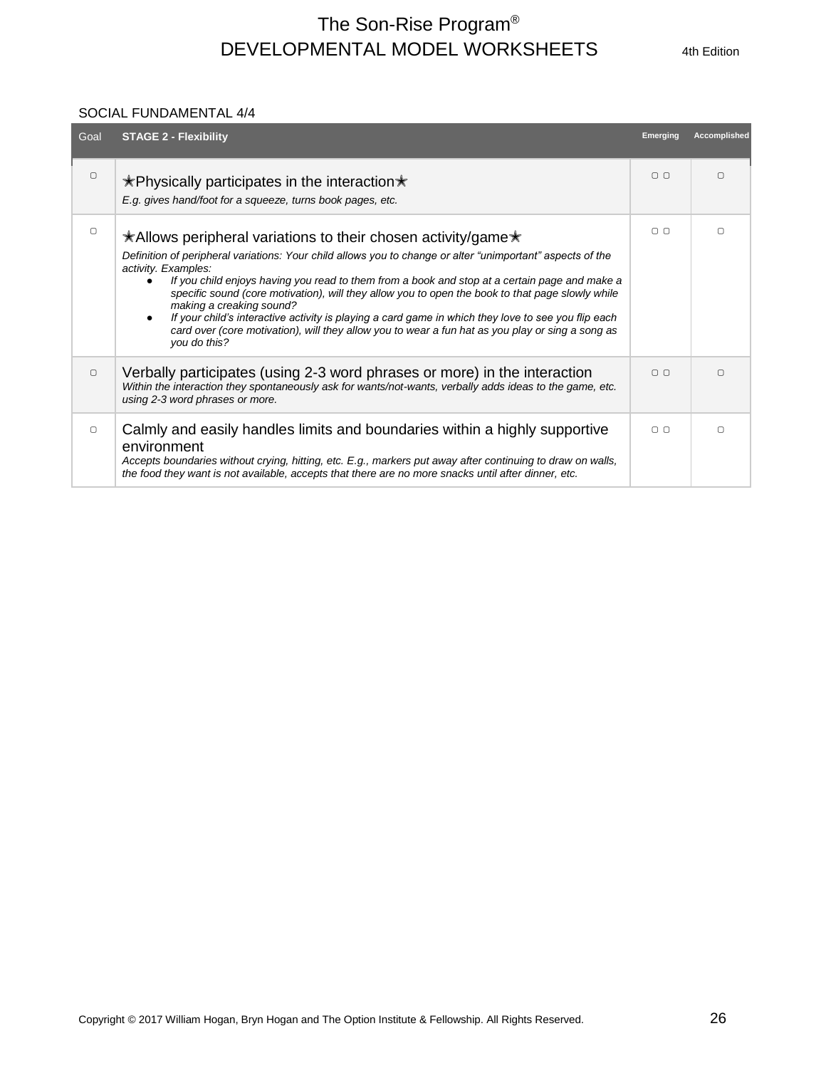| Goal   | <b>STAGE 2 - Flexibility</b>                                                                                                                                                                                                                                                                                                                                                                                                                                                                                                                                                                                                                                                | Emerging | Accomplished |
|--------|-----------------------------------------------------------------------------------------------------------------------------------------------------------------------------------------------------------------------------------------------------------------------------------------------------------------------------------------------------------------------------------------------------------------------------------------------------------------------------------------------------------------------------------------------------------------------------------------------------------------------------------------------------------------------------|----------|--------------|
| $\Box$ | $\star$ Physically participates in the interaction $\star$<br>E.g. gives hand/foot for a squeeze, turns book pages, etc.                                                                                                                                                                                                                                                                                                                                                                                                                                                                                                                                                    | $\Box$   | $\Box$       |
| $\Box$ | $\star$ Allows peripheral variations to their chosen activity/game $\star$<br>Definition of peripheral variations: Your child allows you to change or alter "unimportant" aspects of the<br>activity. Examples:<br>If you child enjoys having you read to them from a book and stop at a certain page and make a<br>specific sound (core motivation), will they allow you to open the book to that page slowly while<br>making a creaking sound?<br>If your child's interactive activity is playing a card game in which they love to see you flip each<br>card over (core motivation), will they allow you to wear a fun hat as you play or sing a song as<br>you do this? | n n      | ∩            |
| $\Box$ | Verbally participates (using 2-3 word phrases or more) in the interaction<br>Within the interaction they spontaneously ask for wants/not-wants, verbally adds ideas to the game, etc.<br>using 2-3 word phrases or more.                                                                                                                                                                                                                                                                                                                                                                                                                                                    | $\Box$   | $\Box$       |
| $\Box$ | Calmly and easily handles limits and boundaries within a highly supportive<br>environment<br>Accepts boundaries without crying, hitting, etc. E.g., markers put away after continuing to draw on walls,<br>the food they want is not available, accepts that there are no more snacks until after dinner, etc.                                                                                                                                                                                                                                                                                                                                                              | $\Box$   | ∩            |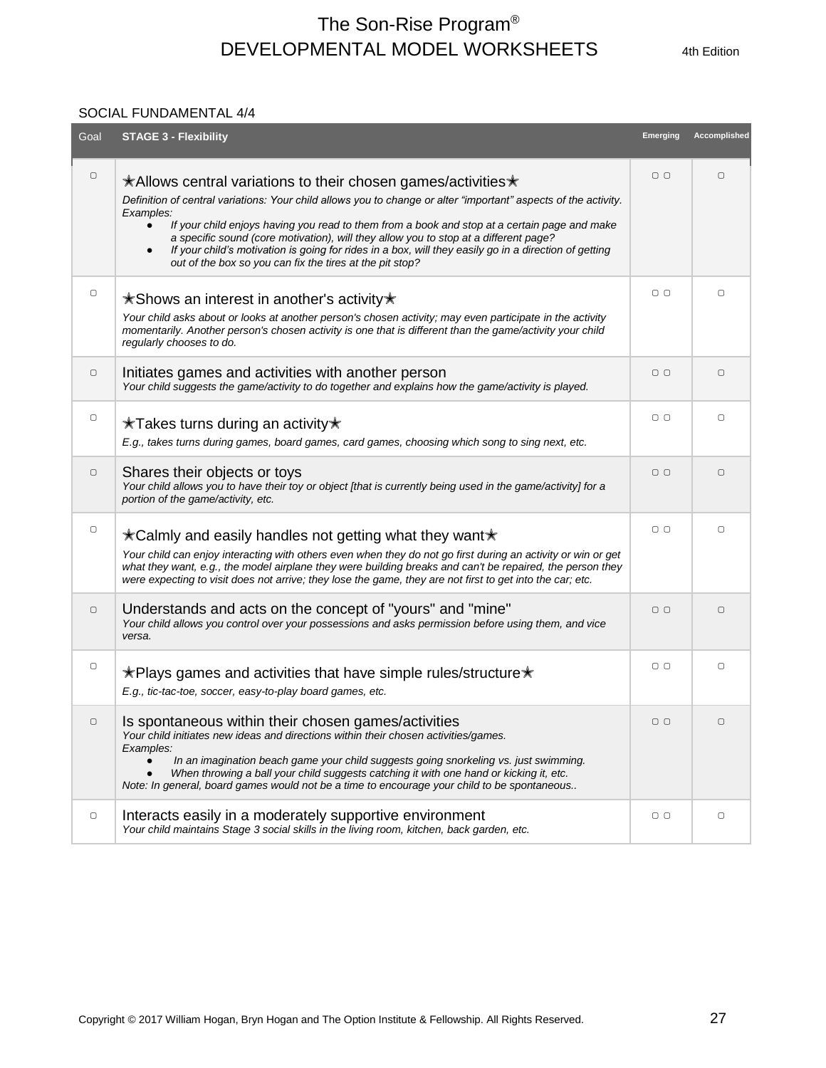| Goal          | <b>STAGE 3 - Flexibility</b>                                                                                                                                                                                                                                                                                                                                                                                                                                                                                                                                           | Emerging | Accomplished |
|---------------|------------------------------------------------------------------------------------------------------------------------------------------------------------------------------------------------------------------------------------------------------------------------------------------------------------------------------------------------------------------------------------------------------------------------------------------------------------------------------------------------------------------------------------------------------------------------|----------|--------------|
| $\hfill \Box$ | *Allows central variations to their chosen games/activities*<br>Definition of central variations: Your child allows you to change or alter "important" aspects of the activity.<br>Examples:<br>If your child enjoys having you read to them from a book and stop at a certain page and make<br>$\bullet$<br>a specific sound (core motivation), will they allow you to stop at a different page?<br>If your child's motivation is going for rides in a box, will they easily go in a direction of getting<br>out of the box so you can fix the tires at the pit stop? | $\Box$   | $\Box$       |
| $\hfill \Box$ | *Shows an interest in another's activity *<br>Your child asks about or looks at another person's chosen activity; may even participate in the activity<br>momentarily. Another person's chosen activity is one that is different than the game/activity your child<br>regularly chooses to do.                                                                                                                                                                                                                                                                         | $\Box$   | $\Box$       |
| $\Box$        | Initiates games and activities with another person<br>Your child suggests the game/activity to do together and explains how the game/activity is played.                                                                                                                                                                                                                                                                                                                                                                                                               | $\Box$   | $\Box$       |
| $\hfill \Box$ | $\star$ Takes turns during an activity $\star$<br>E.g., takes turns during games, board games, card games, choosing which song to sing next, etc.                                                                                                                                                                                                                                                                                                                                                                                                                      | $\Box$   | $\Box$       |
| $\Box$        | Shares their objects or toys<br>Your child allows you to have their toy or object [that is currently being used in the game/activity] for a<br>portion of the game/activity, etc.                                                                                                                                                                                                                                                                                                                                                                                      | $\Box$   | $\Box$       |
| $\Box$        | $\star$ Calmly and easily handles not getting what they want $\star$<br>Your child can enjoy interacting with others even when they do not go first during an activity or win or get<br>what they want, e.g., the model airplane they were building breaks and can't be repaired, the person they<br>were expecting to visit does not arrive; they lose the game, they are not first to get into the car; etc.                                                                                                                                                         | $\Box$   | $\Box$       |
| $\Box$        | Understands and acts on the concept of "yours" and "mine"<br>Your child allows you control over your possessions and asks permission before using them, and vice<br>versa.                                                                                                                                                                                                                                                                                                                                                                                             | $\Box$   | $\Box$       |
| $\hfill \Box$ | $\star$ Plays games and activities that have simple rules/structure $\star$<br>E.g., tic-tac-toe, soccer, easy-to-play board games, etc.                                                                                                                                                                                                                                                                                                                                                                                                                               | $\Box$   | $\Box$       |
| $\Box$        | Is spontaneous within their chosen games/activities<br>Your child initiates new ideas and directions within their chosen activities/games.<br>Examples:<br>In an imagination beach game your child suggests going snorkeling vs. just swimming.<br>When throwing a ball your child suggests catching it with one hand or kicking it, etc.<br>Note: In general, board games would not be a time to encourage your child to be spontaneous                                                                                                                               | $\Box$   | $\Box$       |
| $\hfill \Box$ | Interacts easily in a moderately supportive environment<br>Your child maintains Stage 3 social skills in the living room, kitchen, back garden, etc.                                                                                                                                                                                                                                                                                                                                                                                                                   | $\Box$   | $\Box$       |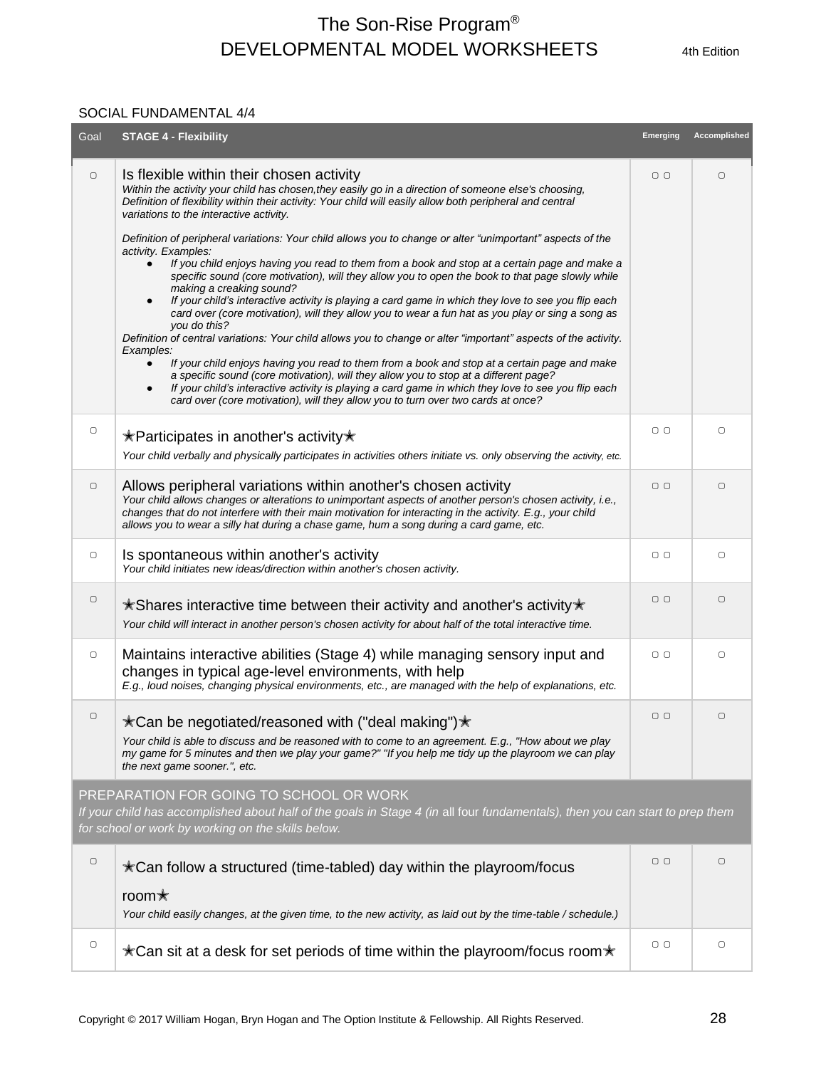| Goal             | <b>STAGE 4 - Flexibility</b>                                                                                                                                                                                                                                                                                                                                                                                                                                                                                                                                                                                                                                                                                                                                                                                                                                                                                                                                                                                                                                                                                                                                                                                                                                                                                                                                                                                                              | <b>Emerging</b> | Accomplished |
|------------------|-------------------------------------------------------------------------------------------------------------------------------------------------------------------------------------------------------------------------------------------------------------------------------------------------------------------------------------------------------------------------------------------------------------------------------------------------------------------------------------------------------------------------------------------------------------------------------------------------------------------------------------------------------------------------------------------------------------------------------------------------------------------------------------------------------------------------------------------------------------------------------------------------------------------------------------------------------------------------------------------------------------------------------------------------------------------------------------------------------------------------------------------------------------------------------------------------------------------------------------------------------------------------------------------------------------------------------------------------------------------------------------------------------------------------------------------|-----------------|--------------|
| $\Box$           | Is flexible within their chosen activity<br>Within the activity your child has chosen, they easily go in a direction of someone else's choosing,<br>Definition of flexibility within their activity: Your child will easily allow both peripheral and central<br>variations to the interactive activity.<br>Definition of peripheral variations: Your child allows you to change or alter "unimportant" aspects of the<br>activity. Examples:<br>If you child enjoys having you read to them from a book and stop at a certain page and make a<br>specific sound (core motivation), will they allow you to open the book to that page slowly while<br>making a creaking sound?<br>If your child's interactive activity is playing a card game in which they love to see you flip each<br>card over (core motivation), will they allow you to wear a fun hat as you play or sing a song as<br>you do this?<br>Definition of central variations: Your child allows you to change or alter "important" aspects of the activity.<br>Examples:<br>If your child enjoys having you read to them from a book and stop at a certain page and make<br>$\bullet$<br>a specific sound (core motivation), will they allow you to stop at a different page?<br>If your child's interactive activity is playing a card game in which they love to see you flip each<br>card over (core motivation), will they allow you to turn over two cards at once? | $\Box$          | $\Box$       |
| $\hfill \Box$    | $\star$ Participates in another's activity $\star$<br>Your child verbally and physically participates in activities others initiate vs. only observing the activity, etc.                                                                                                                                                                                                                                                                                                                                                                                                                                                                                                                                                                                                                                                                                                                                                                                                                                                                                                                                                                                                                                                                                                                                                                                                                                                                 | $\Box$          | $\Box$       |
| $\hfill \square$ | Allows peripheral variations within another's chosen activity<br>Your child allows changes or alterations to unimportant aspects of another person's chosen activity, i.e.,<br>changes that do not interfere with their main motivation for interacting in the activity. E.g., your child<br>allows you to wear a silly hat during a chase game, hum a song during a card game, etc.                                                                                                                                                                                                                                                                                                                                                                                                                                                                                                                                                                                                                                                                                                                                                                                                                                                                                                                                                                                                                                                      | $\Box$          | $\Box$       |
| $\Box$           | Is spontaneous within another's activity<br>Your child initiates new ideas/direction within another's chosen activity.                                                                                                                                                                                                                                                                                                                                                                                                                                                                                                                                                                                                                                                                                                                                                                                                                                                                                                                                                                                                                                                                                                                                                                                                                                                                                                                    | $\Box$          | $\Box$       |
| $\Box$           | $\star$ Shares interactive time between their activity and another's activity $\star$<br>Your child will interact in another person's chosen activity for about half of the total interactive time.                                                                                                                                                                                                                                                                                                                                                                                                                                                                                                                                                                                                                                                                                                                                                                                                                                                                                                                                                                                                                                                                                                                                                                                                                                       | $\Box$          | $\Box$       |
| $\hfill \Box$    | Maintains interactive abilities (Stage 4) while managing sensory input and<br>changes in typical age-level environments, with help<br>E.g., loud noises, changing physical environments, etc., are managed with the help of explanations, etc.                                                                                                                                                                                                                                                                                                                                                                                                                                                                                                                                                                                                                                                                                                                                                                                                                                                                                                                                                                                                                                                                                                                                                                                            | $\Box$          | $\Box$       |
| $\hfill \square$ | $\star$ Can be negotiated/reasoned with ("deal making") $\star$<br>Your child is able to discuss and be reasoned with to come to an agreement. E.g., "How about we play<br>my game for 5 minutes and then we play your game?" "If you help me tidy up the playroom we can play<br>the next game sooner.", etc.                                                                                                                                                                                                                                                                                                                                                                                                                                                                                                                                                                                                                                                                                                                                                                                                                                                                                                                                                                                                                                                                                                                            | $\Box$          | $\Box$       |
|                  | PREPARATION FOR GOING TO SCHOOL OR WORK<br>If your child has accomplished about half of the goals in Stage 4 (in all four fundamentals), then you can start to prep them<br>for school or work by working on the skills below.                                                                                                                                                                                                                                                                                                                                                                                                                                                                                                                                                                                                                                                                                                                                                                                                                                                                                                                                                                                                                                                                                                                                                                                                            |                 |              |
| $\hfill \Box$    | $\star$ Can follow a structured (time-tabled) day within the playroom/focus<br>room $\star$<br>Your child easily changes, at the given time, to the new activity, as laid out by the time-table / schedule.)                                                                                                                                                                                                                                                                                                                                                                                                                                                                                                                                                                                                                                                                                                                                                                                                                                                                                                                                                                                                                                                                                                                                                                                                                              | $\Box$          | $\Box$       |
| $\Box$           | $\star$ Can sit at a desk for set periods of time within the playroom/focus room $\star$                                                                                                                                                                                                                                                                                                                                                                                                                                                                                                                                                                                                                                                                                                                                                                                                                                                                                                                                                                                                                                                                                                                                                                                                                                                                                                                                                  | $\cup$ $\cup$   | $\Box$       |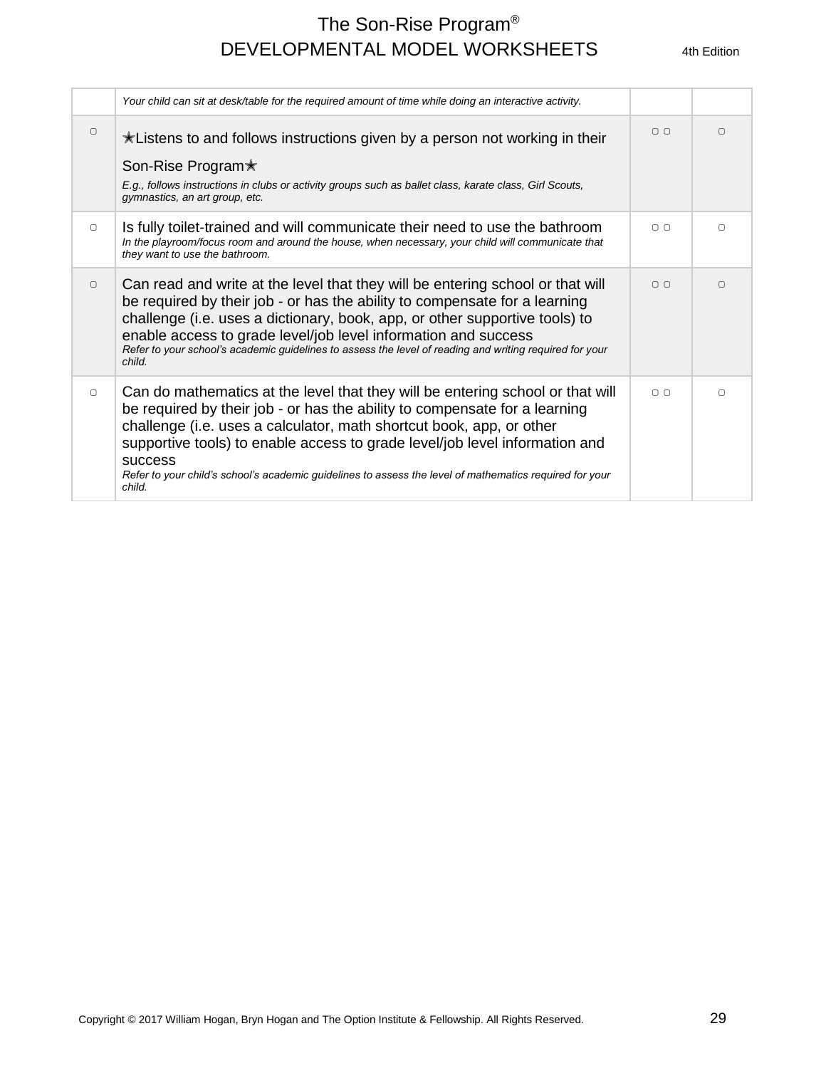|        | Your child can sit at desk/table for the required amount of time while doing an interactive activity.                                                                                                                                                                                                                                                                                                                                                      |               |        |
|--------|------------------------------------------------------------------------------------------------------------------------------------------------------------------------------------------------------------------------------------------------------------------------------------------------------------------------------------------------------------------------------------------------------------------------------------------------------------|---------------|--------|
| $\Box$ | $\star$ Listens to and follows instructions given by a person not working in their<br>Son-Rise Program*<br>E.g., follows instructions in clubs or activity groups such as ballet class, karate class, Girl Scouts,<br>gymnastics, an art group, etc.                                                                                                                                                                                                       | $\cap$ $\cap$ | $\Box$ |
| $\Box$ | Is fully toilet-trained and will communicate their need to use the bathroom<br>In the playroom/focus room and around the house, when necessary, your child will communicate that<br>they want to use the bathroom.                                                                                                                                                                                                                                         | $\cap$ $\cap$ | $\Box$ |
| $\Box$ | Can read and write at the level that they will be entering school or that will<br>be required by their job - or has the ability to compensate for a learning<br>challenge (i.e. uses a dictionary, book, app, or other supportive tools) to<br>enable access to grade level/job level information and success<br>Refer to your school's academic guidelines to assess the level of reading and writing required for your<br>child.                         | $\cap$ $\cap$ | $\Box$ |
| $\Box$ | Can do mathematics at the level that they will be entering school or that will<br>be required by their job - or has the ability to compensate for a learning<br>challenge (i.e. uses a calculator, math shortcut book, app, or other<br>supportive tools) to enable access to grade level/job level information and<br><b>SUCCESS</b><br>Refer to your child's school's academic quidelines to assess the level of mathematics required for your<br>child. | $\cap$ $\cap$ | $\Box$ |